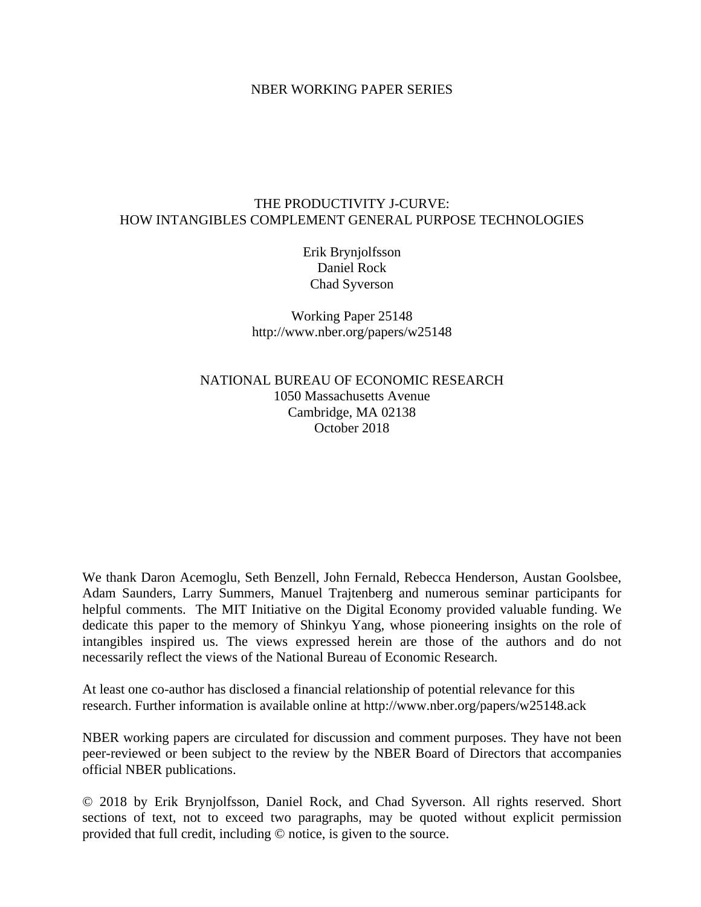# NBER WORKING PAPER SERIES

# THE PRODUCTIVITY J-CURVE: HOW INTANGIBLES COMPLEMENT GENERAL PURPOSE TECHNOLOGIES

Erik Brynjolfsson Daniel Rock Chad Syverson

Working Paper 25148 http://www.nber.org/papers/w25148

NATIONAL BUREAU OF ECONOMIC RESEARCH 1050 Massachusetts Avenue Cambridge, MA 02138 October 2018

We thank Daron Acemoglu, Seth Benzell, John Fernald, Rebecca Henderson, Austan Goolsbee, Adam Saunders, Larry Summers, Manuel Trajtenberg and numerous seminar participants for helpful comments. The MIT Initiative on the Digital Economy provided valuable funding. We dedicate this paper to the memory of Shinkyu Yang, whose pioneering insights on the role of intangibles inspired us. The views expressed herein are those of the authors and do not necessarily reflect the views of the National Bureau of Economic Research.

At least one co-author has disclosed a financial relationship of potential relevance for this research. Further information is available online at http://www.nber.org/papers/w25148.ack

NBER working papers are circulated for discussion and comment purposes. They have not been peer-reviewed or been subject to the review by the NBER Board of Directors that accompanies official NBER publications.

© 2018 by Erik Brynjolfsson, Daniel Rock, and Chad Syverson. All rights reserved. Short sections of text, not to exceed two paragraphs, may be quoted without explicit permission provided that full credit, including © notice, is given to the source.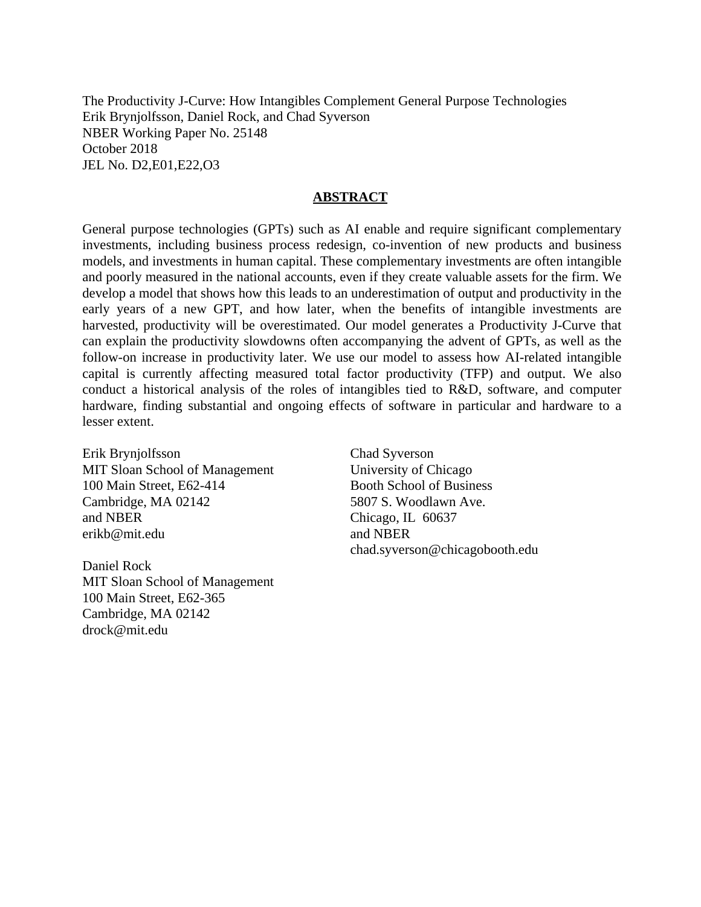The Productivity J-Curve: How Intangibles Complement General Purpose Technologies Erik Brynjolfsson, Daniel Rock, and Chad Syverson NBER Working Paper No. 25148 October 2018 JEL No. D2,E01,E22,O3

## **ABSTRACT**

General purpose technologies (GPTs) such as AI enable and require significant complementary investments, including business process redesign, co-invention of new products and business models, and investments in human capital. These complementary investments are often intangible and poorly measured in the national accounts, even if they create valuable assets for the firm. We develop a model that shows how this leads to an underestimation of output and productivity in the early years of a new GPT, and how later, when the benefits of intangible investments are harvested, productivity will be overestimated. Our model generates a Productivity J-Curve that can explain the productivity slowdowns often accompanying the advent of GPTs, as well as the follow-on increase in productivity later. We use our model to assess how AI-related intangible capital is currently affecting measured total factor productivity (TFP) and output. We also conduct a historical analysis of the roles of intangibles tied to R&D, software, and computer hardware, finding substantial and ongoing effects of software in particular and hardware to a lesser extent.

Erik Brynjolfsson MIT Sloan School of Management 100 Main Street, E62-414 Cambridge, MA 02142 and NBER erikb@mit.edu

Daniel Rock MIT Sloan School of Management 100 Main Street, E62-365 Cambridge, MA 02142 drock@mit.edu

Chad Syverson University of Chicago Booth School of Business 5807 S. Woodlawn Ave. Chicago, IL 60637 and NBER chad.syverson@chicagobooth.edu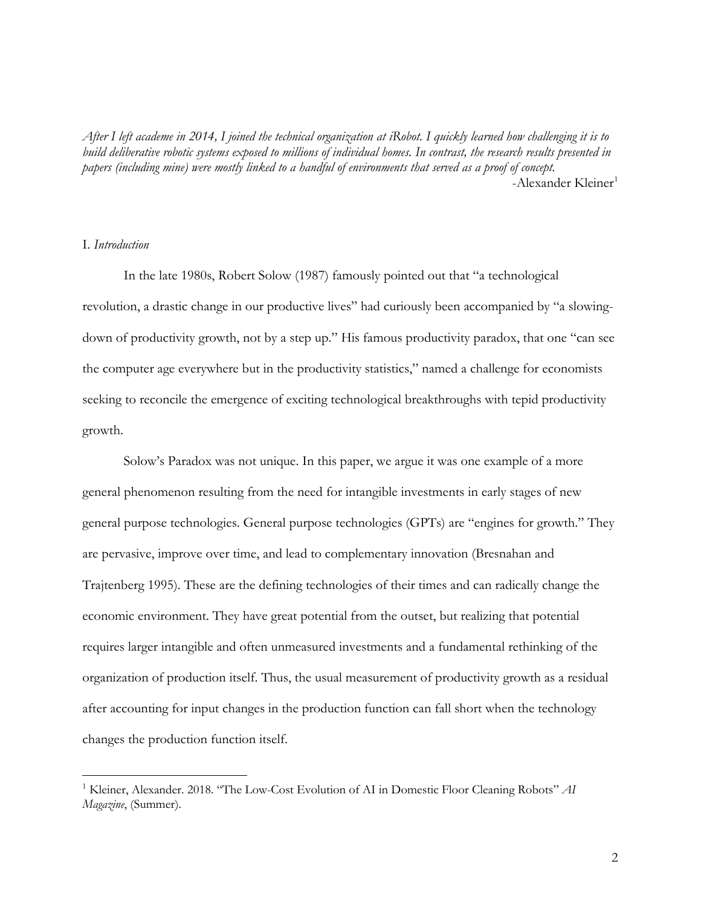*After I left academe in 2014, I joined the technical organization at iRobot. I quickly learned how challenging it is to build deliberative robotic systems exposed to millions of individual homes. In contrast, the research results presented in papers (including mine) were mostly linked to a handful of environments that served as a proof of concept.* -Alexander Kleiner<sup>[1](#page-2-0)</sup>

# I. *Introduction*

 $\overline{a}$ 

In the late 1980s, Robert Solow (1987) famously pointed out that "a technological revolution, a drastic change in our productive lives" had curiously been accompanied by "a slowingdown of productivity growth, not by a step up." His famous productivity paradox, that one "can see the computer age everywhere but in the productivity statistics," named a challenge for economists seeking to reconcile the emergence of exciting technological breakthroughs with tepid productivity growth.

Solow's Paradox was not unique. In this paper, we argue it was one example of a more general phenomenon resulting from the need for intangible investments in early stages of new general purpose technologies. General purpose technologies (GPTs) are "engines for growth." They are pervasive, improve over time, and lead to complementary innovation (Bresnahan and Trajtenberg 1995). These are the defining technologies of their times and can radically change the economic environment. They have great potential from the outset, but realizing that potential requires larger intangible and often unmeasured investments and a fundamental rethinking of the organization of production itself. Thus, the usual measurement of productivity growth as a residual after accounting for input changes in the production function can fall short when the technology changes the production function itself.

<span id="page-2-0"></span><sup>1</sup> Kleiner, Alexander. 2018. "The Low-Cost Evolution of AI in Domestic Floor Cleaning Robots" *AI Magazine*, (Summer).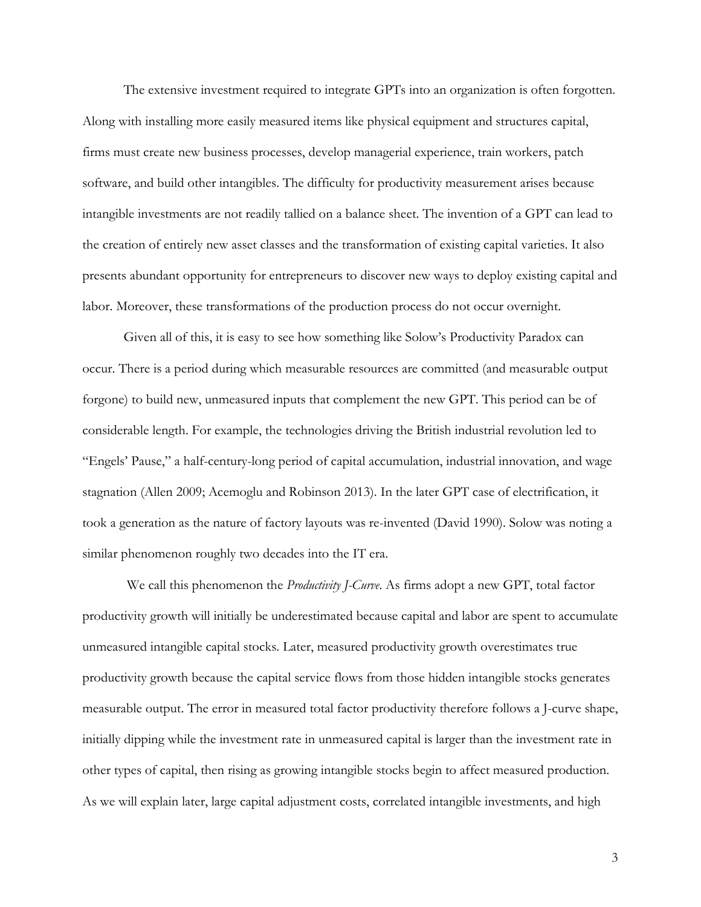The extensive investment required to integrate GPTs into an organization is often forgotten. Along with installing more easily measured items like physical equipment and structures capital, firms must create new business processes, develop managerial experience, train workers, patch software, and build other intangibles. The difficulty for productivity measurement arises because intangible investments are not readily tallied on a balance sheet. The invention of a GPT can lead to the creation of entirely new asset classes and the transformation of existing capital varieties. It also presents abundant opportunity for entrepreneurs to discover new ways to deploy existing capital and labor. Moreover, these transformations of the production process do not occur overnight.

Given all of this, it is easy to see how something like Solow's Productivity Paradox can occur. There is a period during which measurable resources are committed (and measurable output forgone) to build new, unmeasured inputs that complement the new GPT. This period can be of considerable length. For example, the technologies driving the British industrial revolution led to "Engels' Pause," a half-century-long period of capital accumulation, industrial innovation, and wage stagnation (Allen 2009; Acemoglu and Robinson 2013). In the later GPT case of electrification, it took a generation as the nature of factory layouts was re-invented (David 1990). Solow was noting a similar phenomenon roughly two decades into the IT era.

 We call this phenomenon the *Productivity J-Curve*. As firms adopt a new GPT, total factor productivity growth will initially be underestimated because capital and labor are spent to accumulate unmeasured intangible capital stocks. Later, measured productivity growth overestimates true productivity growth because the capital service flows from those hidden intangible stocks generates measurable output. The error in measured total factor productivity therefore follows a J-curve shape, initially dipping while the investment rate in unmeasured capital is larger than the investment rate in other types of capital, then rising as growing intangible stocks begin to affect measured production. As we will explain later, large capital adjustment costs, correlated intangible investments, and high

3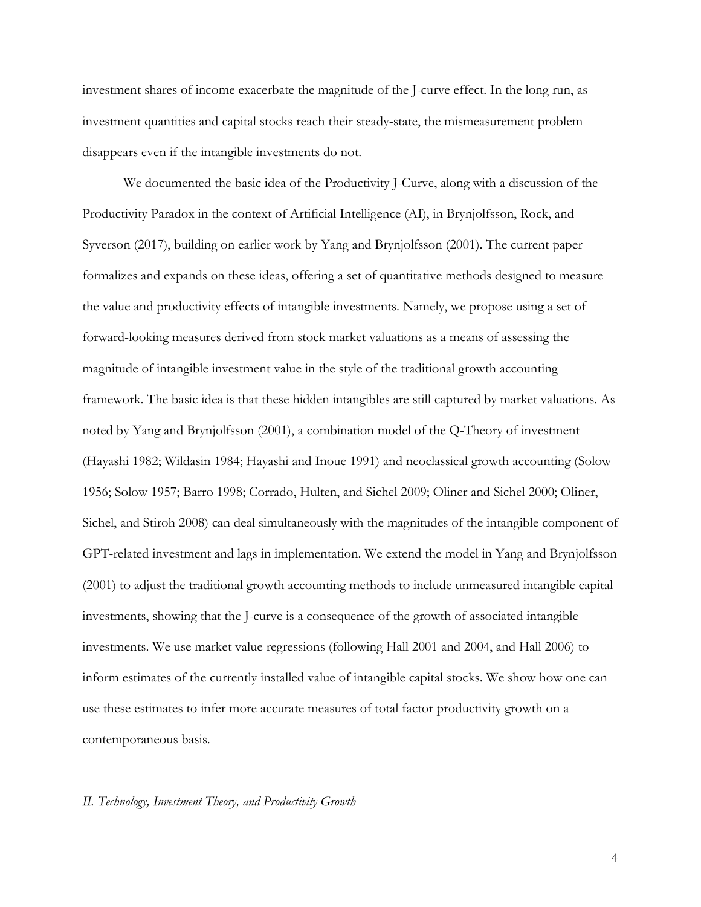investment shares of income exacerbate the magnitude of the J-curve effect. In the long run, as investment quantities and capital stocks reach their steady-state, the mismeasurement problem disappears even if the intangible investments do not.

We documented the basic idea of the Productivity J-Curve, along with a discussion of the Productivity Paradox in the context of Artificial Intelligence (AI), in Brynjolfsson, Rock, and Syverson (2017), building on earlier work by Yang and Brynjolfsson (2001). The current paper formalizes and expands on these ideas, offering a set of quantitative methods designed to measure the value and productivity effects of intangible investments. Namely, we propose using a set of forward-looking measures derived from stock market valuations as a means of assessing the magnitude of intangible investment value in the style of the traditional growth accounting framework. The basic idea is that these hidden intangibles are still captured by market valuations. As noted by Yang and Brynjolfsson (2001), a combination model of the Q-Theory of investment (Hayashi 1982; Wildasin 1984; Hayashi and Inoue 1991) and neoclassical growth accounting (Solow 1956; Solow 1957; Barro 1998; Corrado, Hulten, and Sichel 2009; Oliner and Sichel 2000; Oliner, Sichel, and Stiroh 2008) can deal simultaneously with the magnitudes of the intangible component of GPT-related investment and lags in implementation. We extend the model in Yang and Brynjolfsson (2001) to adjust the traditional growth accounting methods to include unmeasured intangible capital investments, showing that the J-curve is a consequence of the growth of associated intangible investments. We use market value regressions (following Hall 2001 and 2004, and Hall 2006) to inform estimates of the currently installed value of intangible capital stocks. We show how one can use these estimates to infer more accurate measures of total factor productivity growth on a contemporaneous basis.

#### *II. Technology, Investment Theory, and Productivity Growth*

4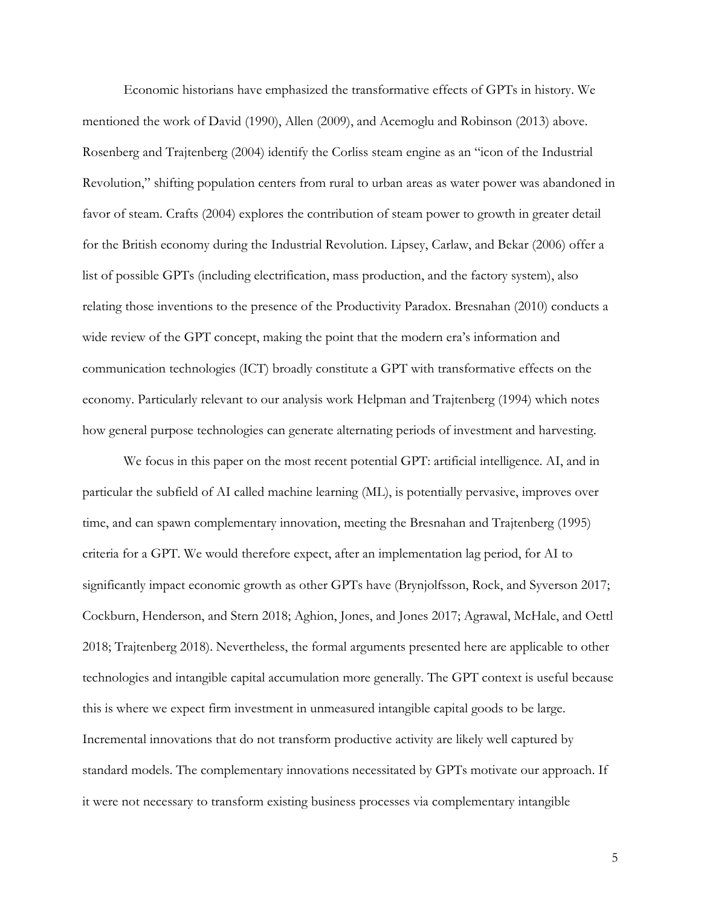Economic historians have emphasized the transformative effects of GPTs in history. We mentioned the work of David (1990), Allen (2009), and Acemoglu and Robinson (2013) above. Rosenberg and Trajtenberg (2004) identify the Corliss steam engine as an "icon of the Industrial Revolution," shifting population centers from rural to urban areas as water power was abandoned in favor of steam. Crafts (2004) explores the contribution of steam power to growth in greater detail for the British economy during the Industrial Revolution. Lipsey, Carlaw, and Bekar (2006) offer a list of possible GPTs (including electrification, mass production, and the factory system), also relating those inventions to the presence of the Productivity Paradox. Bresnahan (2010) conducts a wide review of the GPT concept, making the point that the modern era's information and communication technologies (ICT) broadly constitute a GPT with transformative effects on the economy. Particularly relevant to our analysis work Helpman and Trajtenberg (1994) which notes how general purpose technologies can generate alternating periods of investment and harvesting.

We focus in this paper on the most recent potential GPT: artificial intelligence. AI, and in particular the subfield of AI called machine learning (ML), is potentially pervasive, improves over time, and can spawn complementary innovation, meeting the Bresnahan and Trajtenberg (1995) criteria for a GPT. We would therefore expect, after an implementation lag period, for AI to significantly impact economic growth as other GPTs have (Brynjolfsson, Rock, and Syverson 2017; Cockburn, Henderson, and Stern 2018; Aghion, Jones, and Jones 2017; Agrawal, McHale, and Oettl 2018; Trajtenberg 2018). Nevertheless, the formal arguments presented here are applicable to other technologies and intangible capital accumulation more generally. The GPT context is useful because this is where we expect firm investment in unmeasured intangible capital goods to be large. Incremental innovations that do not transform productive activity are likely well captured by standard models. The complementary innovations necessitated by GPTs motivate our approach. If it were not necessary to transform existing business processes via complementary intangible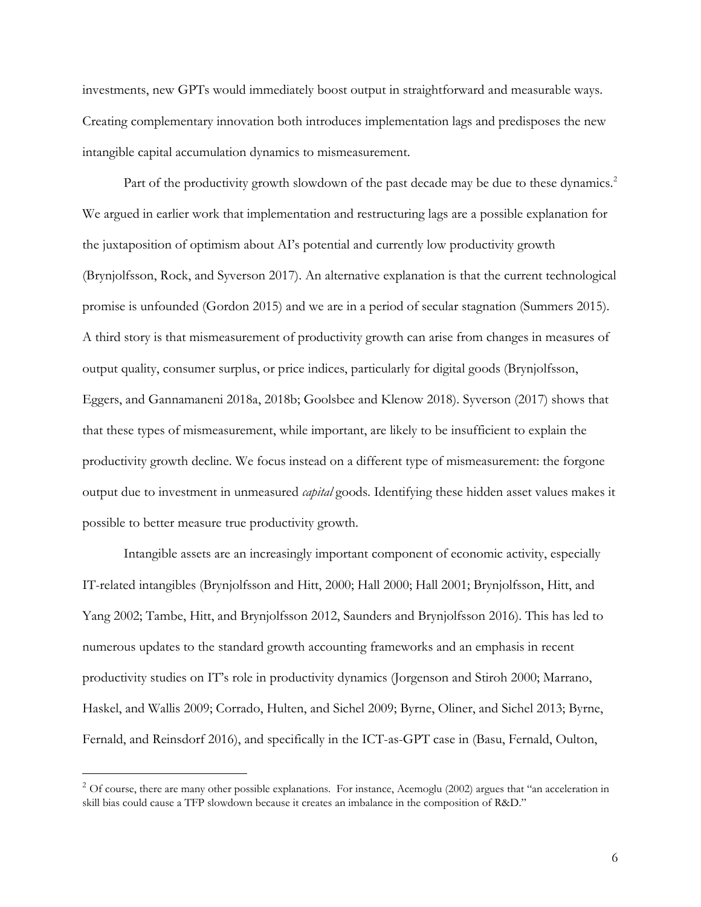investments, new GPTs would immediately boost output in straightforward and measurable ways. Creating complementary innovation both introduces implementation lags and predisposes the new intangible capital accumulation dynamics to mismeasurement.

Part of the productivity growth slowdown of the past decade may be due to these dynamics.<sup>[2](#page-6-0)</sup> We argued in earlier work that implementation and restructuring lags are a possible explanation for the juxtaposition of optimism about AI's potential and currently low productivity growth (Brynjolfsson, Rock, and Syverson 2017). An alternative explanation is that the current technological promise is unfounded (Gordon 2015) and we are in a period of secular stagnation (Summers 2015). A third story is that mismeasurement of productivity growth can arise from changes in measures of output quality, consumer surplus, or price indices, particularly for digital goods (Brynjolfsson, Eggers, and Gannamaneni 2018a, 2018b; Goolsbee and Klenow 2018). Syverson (2017) shows that that these types of mismeasurement, while important, are likely to be insufficient to explain the productivity growth decline. We focus instead on a different type of mismeasurement: the forgone output due to investment in unmeasured *capital* goods. Identifying these hidden asset values makes it possible to better measure true productivity growth.

Intangible assets are an increasingly important component of economic activity, especially IT-related intangibles (Brynjolfsson and Hitt, 2000; Hall 2000; Hall 2001; Brynjolfsson, Hitt, and Yang 2002; Tambe, Hitt, and Brynjolfsson 2012, Saunders and Brynjolfsson 2016). This has led to numerous updates to the standard growth accounting frameworks and an emphasis in recent productivity studies on IT's role in productivity dynamics (Jorgenson and Stiroh 2000; Marrano, Haskel, and Wallis 2009; Corrado, Hulten, and Sichel 2009; Byrne, Oliner, and Sichel 2013; Byrne, Fernald, and Reinsdorf 2016), and specifically in the ICT-as-GPT case in (Basu, Fernald, Oulton,

<span id="page-6-0"></span> $2$  Of course, there are many other possible explanations. For instance, Acemoglu (2002) argues that "an acceleration in skill bias could cause a TFP slowdown because it creates an imbalance in the composition of R&D."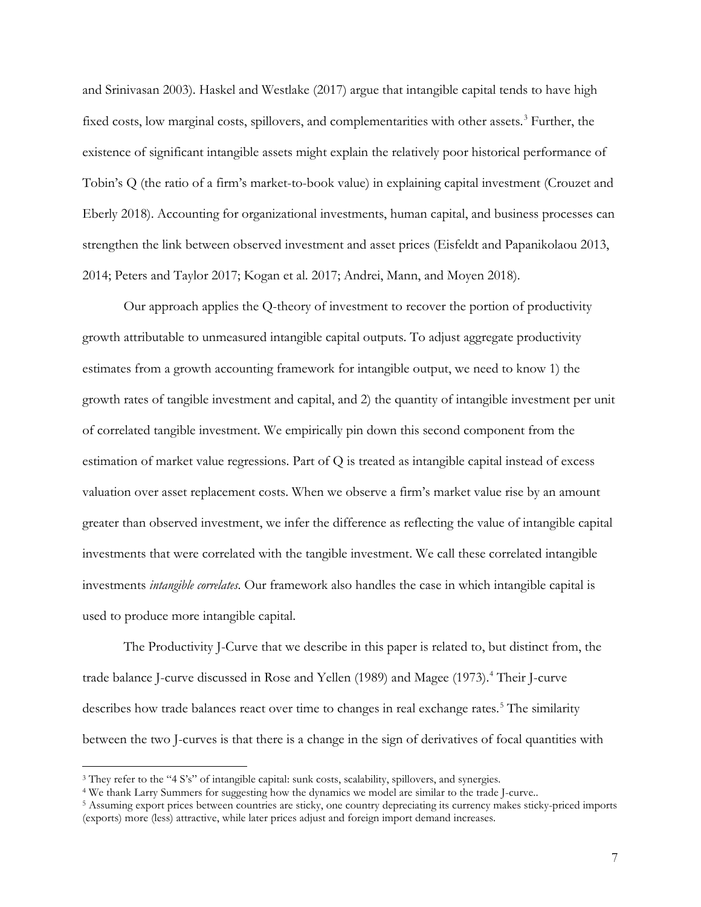and Srinivasan 2003). Haskel and Westlake (2017) argue that intangible capital tends to have high fixed costs, low marginal costs, spillovers, and complementarities with other assets.<sup>[3](#page-7-0)</sup> Further, the existence of significant intangible assets might explain the relatively poor historical performance of Tobin's Q (the ratio of a firm's market-to-book value) in explaining capital investment (Crouzet and Eberly 2018). Accounting for organizational investments, human capital, and business processes can strengthen the link between observed investment and asset prices (Eisfeldt and Papanikolaou 2013, 2014; Peters and Taylor 2017; Kogan et al. 2017; Andrei, Mann, and Moyen 2018).

Our approach applies the Q-theory of investment to recover the portion of productivity growth attributable to unmeasured intangible capital outputs. To adjust aggregate productivity estimates from a growth accounting framework for intangible output, we need to know 1) the growth rates of tangible investment and capital, and 2) the quantity of intangible investment per unit of correlated tangible investment. We empirically pin down this second component from the estimation of market value regressions. Part of Q is treated as intangible capital instead of excess valuation over asset replacement costs. When we observe a firm's market value rise by an amount greater than observed investment, we infer the difference as reflecting the value of intangible capital investments that were correlated with the tangible investment. We call these correlated intangible investments *intangible correlates*. Our framework also handles the case in which intangible capital is used to produce more intangible capital.

The Productivity J-Curve that we describe in this paper is related to, but distinct from, the trade balance J-curve discussed in Rose and Yellen (1989) and Magee (1973).<sup>[4](#page-7-1)</sup> Their J-curve describes how trade balances react over time to changes in real exchange rates.<sup>[5](#page-7-2)</sup> The similarity between the two J-curves is that there is a change in the sign of derivatives of focal quantities with

<span id="page-7-0"></span><sup>3</sup> They refer to the "4 S's" of intangible capital: sunk costs, scalability, spillovers, and synergies.

<span id="page-7-1"></span><sup>4</sup> We thank Larry Summers for suggesting how the dynamics we model are similar to the trade J-curve..

<span id="page-7-2"></span><sup>5</sup> Assuming export prices between countries are sticky, one country depreciating its currency makes sticky-priced imports (exports) more (less) attractive, while later prices adjust and foreign import demand increases.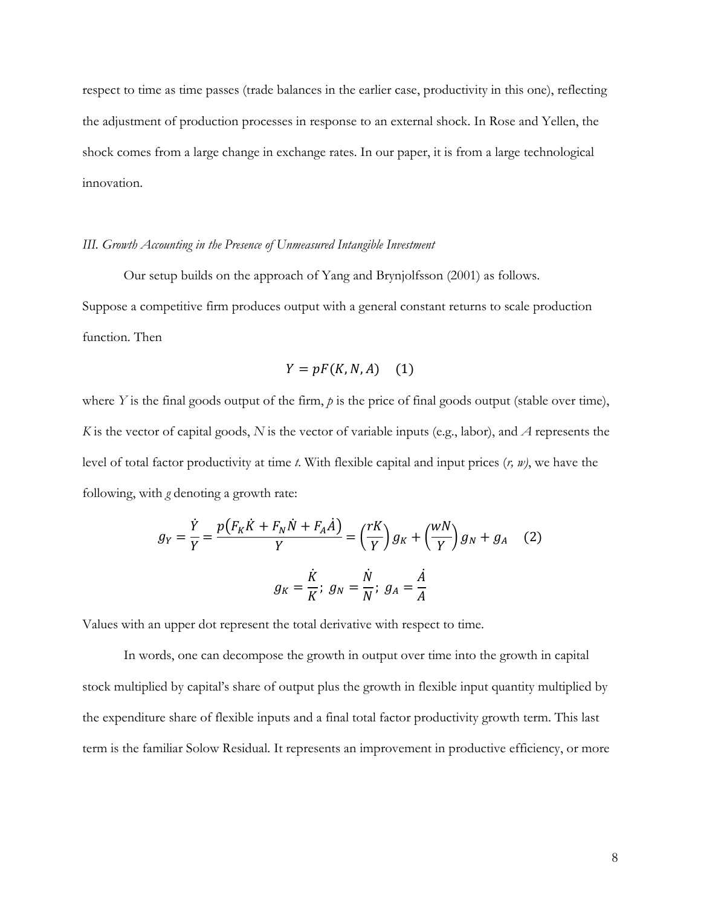respect to time as time passes (trade balances in the earlier case, productivity in this one), reflecting the adjustment of production processes in response to an external shock. In Rose and Yellen, the shock comes from a large change in exchange rates. In our paper, it is from a large technological innovation.

# *III. Growth Accounting in the Presence of Unmeasured Intangible Investment*

Our setup builds on the approach of Yang and Brynjolfsson (2001) as follows. Suppose a competitive firm produces output with a general constant returns to scale production function. Then

$$
Y = pF(K, N, A) \quad (1)
$$

where *Y* is the final goods output of the firm, *p* is the price of final goods output (stable over time), *K* is the vector of capital goods, *N* is the vector of variable inputs (e.g., labor), and *A* represents the level of total factor productivity at time *t*. With flexible capital and input prices (*r, w)*, we have the following, with *g* denoting a growth rate:

$$
g_Y = \frac{\dot{Y}}{Y} = \frac{p(F_K \dot{K} + F_N \dot{N} + F_A \dot{A})}{Y} = \left(\frac{rK}{Y}\right)g_K + \left(\frac{wN}{Y}\right)g_N + g_A \quad (2)
$$

$$
g_K = \frac{\dot{K}}{K}; \ g_N = \frac{\dot{N}}{N}; \ g_A = \frac{\dot{A}}{A}
$$

Values with an upper dot represent the total derivative with respect to time.

In words, one can decompose the growth in output over time into the growth in capital stock multiplied by capital's share of output plus the growth in flexible input quantity multiplied by the expenditure share of flexible inputs and a final total factor productivity growth term. This last term is the familiar Solow Residual. It represents an improvement in productive efficiency, or more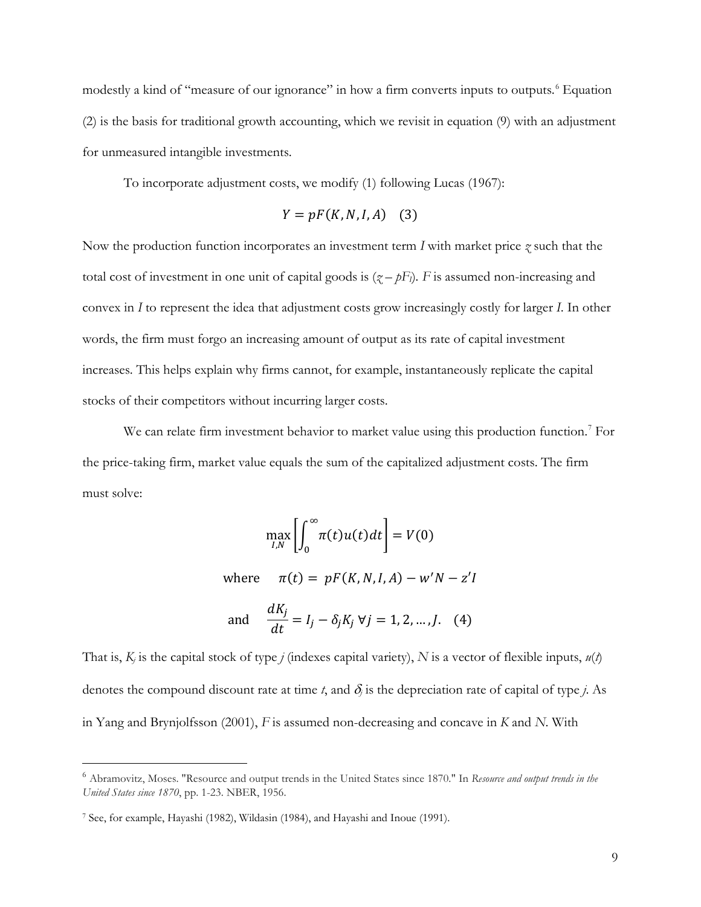modestly a kind of "measure of our ignorance" in how a firm converts inputs to outputs.<sup>[6](#page-9-0)</sup> Equation (2) is the basis for traditional growth accounting, which we revisit in equation (9) with an adjustment for unmeasured intangible investments.

To incorporate adjustment costs, we modify (1) following Lucas (1967):

$$
Y = pF(K, N, I, A) \quad (3)
$$

Now the production function incorporates an investment term *I* with market price *z* such that the total cost of investment in one unit of capital goods is  $(z - pF)$ . *F* is assumed non-increasing and convex in *I* to represent the idea that adjustment costs grow increasingly costly for larger *I*. In other words, the firm must forgo an increasing amount of output as its rate of capital investment increases. This helps explain why firms cannot, for example, instantaneously replicate the capital stocks of their competitors without incurring larger costs.

We can relate firm investment behavior to market value using this production function.<sup>[7](#page-9-1)</sup> For the price-taking firm, market value equals the sum of the capitalized adjustment costs. The firm must solve:

$$
\max_{I,N} \left[ \int_0^\infty \pi(t) u(t) dt \right] = V(0)
$$
  
where  $\pi(t) = pF(K, N, I, A) - w'N - z'I$   
 $dK$ .

and 
$$
\frac{dK_j}{dt} = I_j - \delta_j K_j \ \forall j = 1, 2, ..., J.
$$
 (4)

That is,  $K_i$  is the capital stock of type *j* (indexes capital variety),  $N$  is a vector of flexible inputs,  $u(t)$ denotes the compound discount rate at time *t*, and  $\delta_j$  is the depreciation rate of capital of type *j*. As in Yang and Brynjolfsson (2001), *F* is assumed non-decreasing and concave in *K* and *N*. With

<span id="page-9-0"></span><sup>6</sup> Abramovitz, Moses. "Resource and output trends in the United States since 1870." In *Resource and output trends in the United States since 1870*, pp. 1-23. NBER, 1956.

<span id="page-9-1"></span><sup>7</sup> See, for example, Hayashi (1982), Wildasin (1984), and Hayashi and Inoue (1991).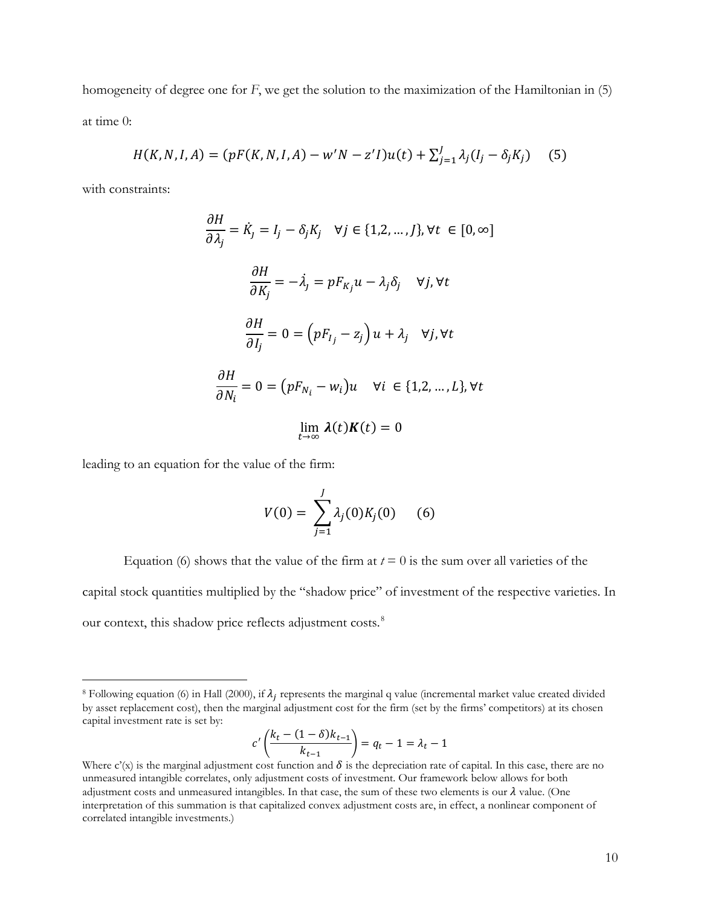homogeneity of degree one for *F*, we get the solution to the maximization of the Hamiltonian in (5) at time 0:

$$
H(K, N, I, A) = (pF(K, N, I, A) - w'N - z'I)u(t) + \sum_{j=1}^{J} \lambda_j (I_j - \delta_j K_j)
$$
 (5)

with constraints:

 $\overline{a}$ 

$$
\frac{\partial H}{\partial \lambda_j} = \dot{K}_j = I_j - \delta_j K_j \quad \forall j \in \{1, 2, ..., J\}, \forall t \in [0, \infty]
$$
\n
$$
\frac{\partial H}{\partial K_j} = -\dot{\lambda}_j = p F_{K_j} u - \lambda_j \delta_j \quad \forall j, \forall t
$$
\n
$$
\frac{\partial H}{\partial I_j} = 0 = (p F_{I_j} - z_j) u + \lambda_j \quad \forall j, \forall t
$$
\n
$$
\frac{\partial H}{\partial N_i} = 0 = (p F_{N_i} - w_i) u \quad \forall i \in \{1, 2, ..., L\}, \forall t
$$
\n
$$
\lim_{t \to \infty} \lambda(t) K(t) = 0
$$

leading to an equation for the value of the firm:

$$
V(0) = \sum_{j=1}^{J} \lambda_j(0) K_j(0) \qquad (6)
$$

Equation (6) shows that the value of the firm at  $t = 0$  is the sum over all varieties of the capital stock quantities multiplied by the "shadow price" of investment of the respective varieties. In

our context, this shadow price reflects adjustment costs.<sup>[8](#page-10-0)</sup>

$$
c'\left(\frac{k_t - (1 - \delta)k_{t-1}}{k_{t-1}}\right) = q_t - 1 = \lambda_t - 1
$$

<span id="page-10-0"></span><sup>&</sup>lt;sup>8</sup> Following equation (6) in Hall (2000), if  $\lambda_i$  represents the marginal q value (incremental market value created divided by asset replacement cost), then the marginal adjustment cost for the firm (set by the firms' competitors) at its chosen capital investment rate is set by:

Where  $c'(x)$  is the marginal adjustment cost function and  $\delta$  is the depreciation rate of capital. In this case, there are no unmeasured intangible correlates, only adjustment costs of investment. Our framework below allows for both adjustment costs and unmeasured intangibles. In that case, the sum of these two elements is our  $\lambda$  value. (One interpretation of this summation is that capitalized convex adjustment costs are, in effect, a nonlinear component of correlated intangible investments.)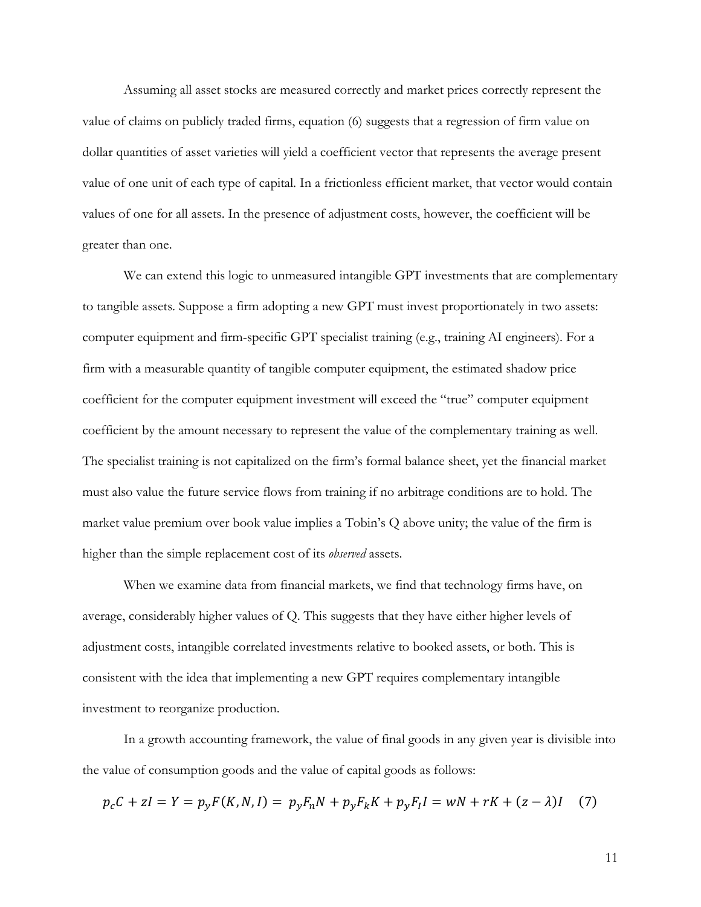Assuming all asset stocks are measured correctly and market prices correctly represent the value of claims on publicly traded firms, equation (6) suggests that a regression of firm value on dollar quantities of asset varieties will yield a coefficient vector that represents the average present value of one unit of each type of capital. In a frictionless efficient market, that vector would contain values of one for all assets. In the presence of adjustment costs, however, the coefficient will be greater than one.

We can extend this logic to unmeasured intangible GPT investments that are complementary to tangible assets. Suppose a firm adopting a new GPT must invest proportionately in two assets: computer equipment and firm-specific GPT specialist training (e.g., training AI engineers). For a firm with a measurable quantity of tangible computer equipment, the estimated shadow price coefficient for the computer equipment investment will exceed the "true" computer equipment coefficient by the amount necessary to represent the value of the complementary training as well. The specialist training is not capitalized on the firm's formal balance sheet, yet the financial market must also value the future service flows from training if no arbitrage conditions are to hold. The market value premium over book value implies a Tobin's Q above unity; the value of the firm is higher than the simple replacement cost of its *observed* assets.

When we examine data from financial markets, we find that technology firms have, on average, considerably higher values of Q. This suggests that they have either higher levels of adjustment costs, intangible correlated investments relative to booked assets, or both. This is consistent with the idea that implementing a new GPT requires complementary intangible investment to reorganize production.

In a growth accounting framework, the value of final goods in any given year is divisible into the value of consumption goods and the value of capital goods as follows:

$$
p_c C + zI = Y = p_y F(K, N, I) = p_y F_n N + p_y F_k K + p_y F_I I = wN + rK + (z - \lambda)I \tag{7}
$$

11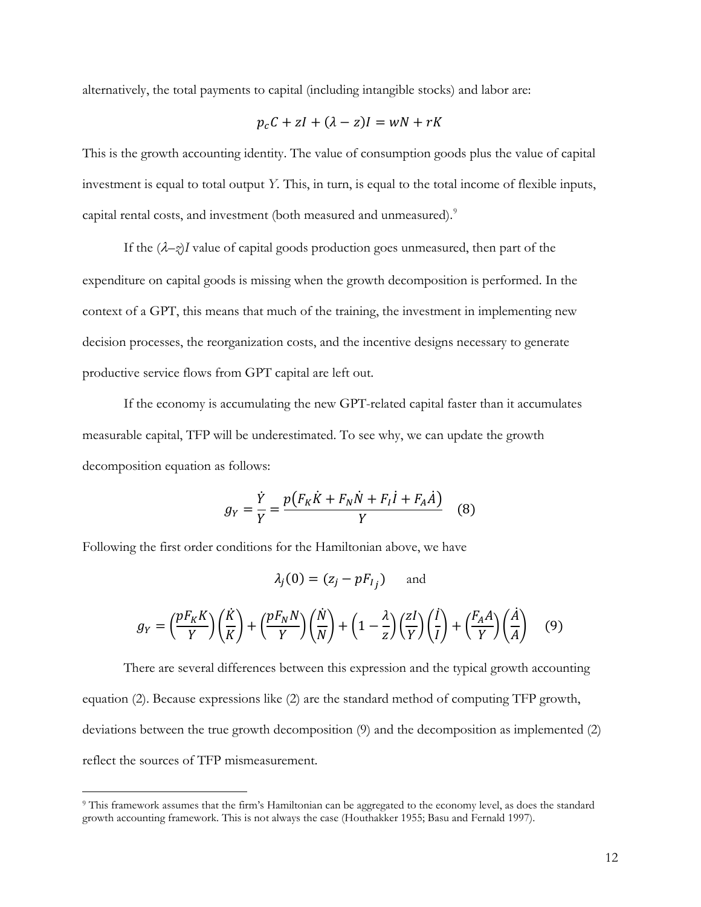alternatively, the total payments to capital (including intangible stocks) and labor are:

$$
p_c C + zI + (\lambda - z)I = wN + rK
$$

This is the growth accounting identity. The value of consumption goods plus the value of capital investment is equal to total output *Y.* This, in turn, is equal to the total income of flexible inputs, capital rental costs, and investment (both measured and unmeasured).<sup>[9](#page-12-0)</sup>

If the  $(\lambda - z)I$  value of capital goods production goes unmeasured, then part of the expenditure on capital goods is missing when the growth decomposition is performed. In the context of a GPT, this means that much of the training, the investment in implementing new decision processes, the reorganization costs, and the incentive designs necessary to generate productive service flows from GPT capital are left out.

If the economy is accumulating the new GPT-related capital faster than it accumulates measurable capital, TFP will be underestimated. To see why, we can update the growth decomposition equation as follows:

$$
g_Y = \frac{\dot{Y}}{Y} = \frac{p(F_K \dot{K} + F_N \dot{N} + F_I \dot{I} + F_A \dot{A})}{Y}
$$
 (8)

Following the first order conditions for the Hamiltonian above, we have

 $\overline{a}$ 

$$
\lambda_j(0) = (z_j - pF_{I_j}) \quad \text{and}
$$

$$
g_Y = \left(\frac{pF_K K}{Y}\right)\left(\frac{\dot{K}}{K}\right) + \left(\frac{pF_N N}{Y}\right)\left(\frac{\dot{N}}{N}\right) + \left(1 - \frac{\lambda}{Z}\right)\left(\frac{zI}{Y}\right)\left(\frac{\dot{I}}{I}\right) + \left(\frac{F_A A}{Y}\right)\left(\frac{\dot{A}}{A}\right) \quad (9)
$$

There are several differences between this expression and the typical growth accounting equation (2). Because expressions like (2) are the standard method of computing TFP growth, deviations between the true growth decomposition (9) and the decomposition as implemented (2) reflect the sources of TFP mismeasurement.

<span id="page-12-0"></span><sup>9</sup> This framework assumes that the firm's Hamiltonian can be aggregated to the economy level, as does the standard growth accounting framework. This is not always the case (Houthakker 1955; Basu and Fernald 1997).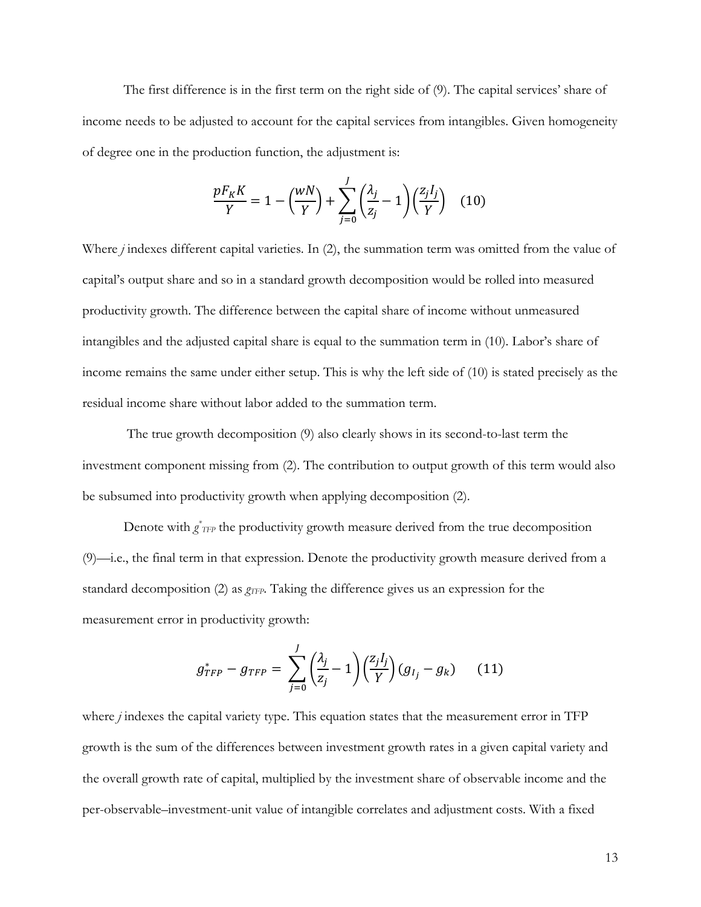The first difference is in the first term on the right side of (9). The capital services' share of income needs to be adjusted to account for the capital services from intangibles. Given homogeneity of degree one in the production function, the adjustment is:

$$
\frac{pF_K K}{Y} = 1 - \left(\frac{wN}{Y}\right) + \sum_{j=0}^{J} \left(\frac{\lambda_j}{z_j} - 1\right) \left(\frac{z_j I_j}{Y}\right) \tag{10}
$$

Where *j* indexes different capital varieties. In (2), the summation term was omitted from the value of capital's output share and so in a standard growth decomposition would be rolled into measured productivity growth. The difference between the capital share of income without unmeasured intangibles and the adjusted capital share is equal to the summation term in (10). Labor's share of income remains the same under either setup. This is why the left side of (10) is stated precisely as the residual income share without labor added to the summation term.

The true growth decomposition (9) also clearly shows in its second-to-last term the investment component missing from (2). The contribution to output growth of this term would also be subsumed into productivity growth when applying decomposition (2).

Denote with  $g^*_{TFP}$  the productivity growth measure derived from the true decomposition (9)—i.e., the final term in that expression. Denote the productivity growth measure derived from a standard decomposition (2) as  $g_{TFP}$ . Taking the difference gives us an expression for the measurement error in productivity growth:

$$
g_{TFP}^* - g_{TFP} = \sum_{j=0}^J \left(\frac{\lambda_j}{z_j} - 1\right) \left(\frac{z_j I_j}{Y}\right) \left(g_{I_j} - g_k\right) \tag{11}
$$

where *j* indexes the capital variety type. This equation states that the measurement error in TFP growth is the sum of the differences between investment growth rates in a given capital variety and the overall growth rate of capital, multiplied by the investment share of observable income and the per-observable–investment-unit value of intangible correlates and adjustment costs. With a fixed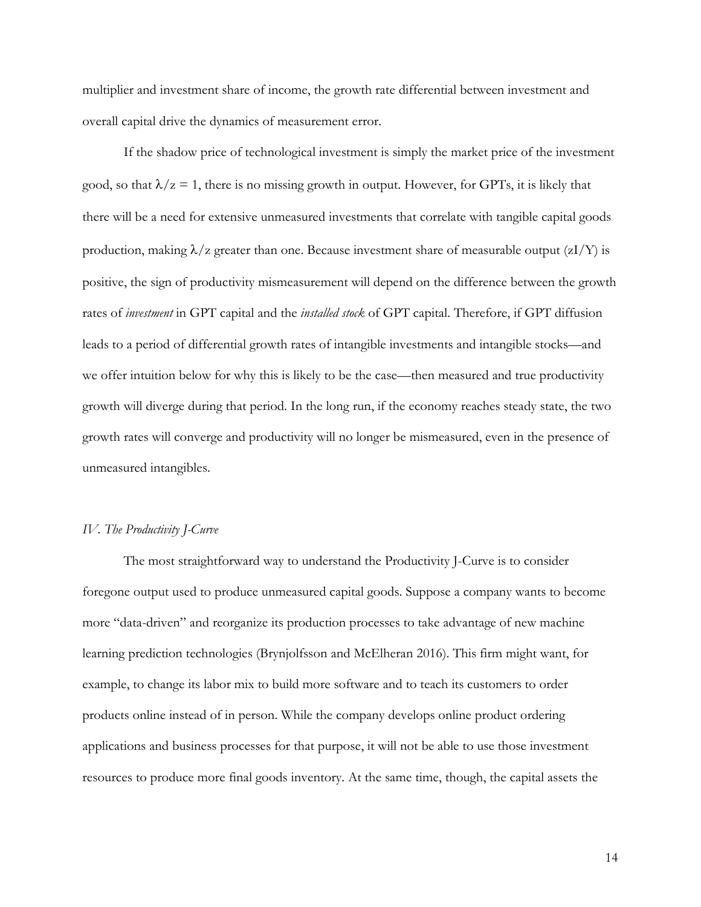multiplier and investment share of income, the growth rate differential between investment and overall capital drive the dynamics of measurement error.

If the shadow price of technological investment is simply the market price of the investment good, so that  $\lambda/z = 1$ , there is no missing growth in output. However, for GPTs, it is likely that there will be a need for extensive unmeasured investments that correlate with tangible capital goods production, making  $\lambda/z$  greater than one. Because investment share of measurable output (zI/Y) is positive, the sign of productivity mismeasurement will depend on the difference between the growth rates of *investment* in GPT capital and the *installed stock* of GPT capital. Therefore, if GPT diffusion leads to a period of differential growth rates of intangible investments and intangible stocks—and we offer intuition below for why this is likely to be the case—then measured and true productivity growth will diverge during that period. In the long run, if the economy reaches steady state, the two growth rates will converge and productivity will no longer be mismeasured, even in the presence of unmeasured intangibles.

#### *IV. The Productivity J-Curve*

 The most straightforward way to understand the Productivity J-Curve is to consider foregone output used to produce unmeasured capital goods. Suppose a company wants to become more "data-driven" and reorganize its production processes to take advantage of new machine learning prediction technologies (Brynjolfsson and McElheran 2016). This firm might want, for example, to change its labor mix to build more software and to teach its customers to order products online instead of in person. While the company develops online product ordering applications and business processes for that purpose, it will not be able to use those investment resources to produce more final goods inventory. At the same time, though, the capital assets the

14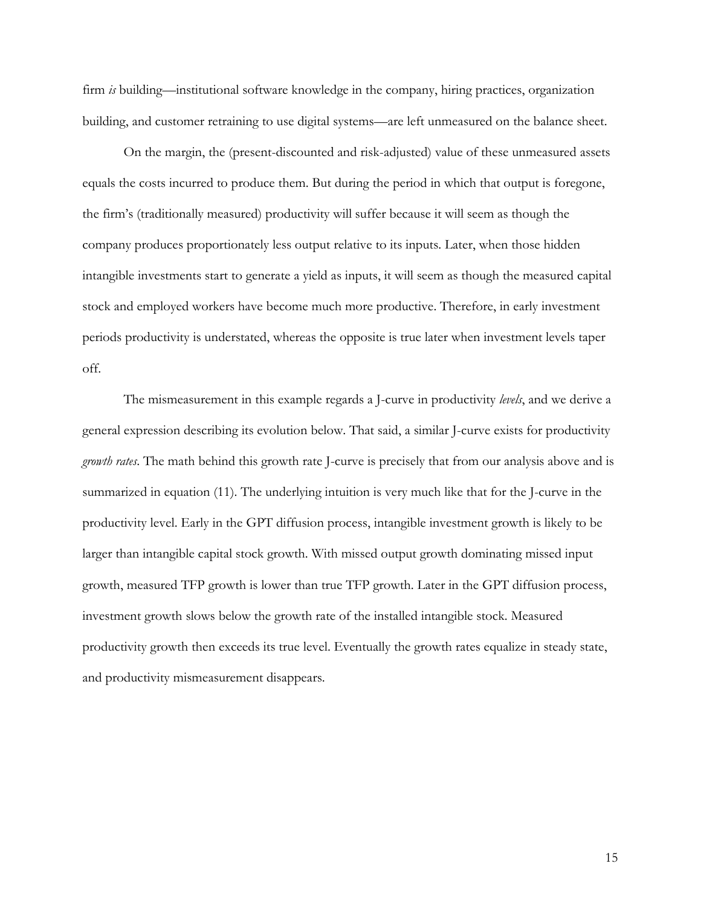firm *is* building—institutional software knowledge in the company, hiring practices, organization building, and customer retraining to use digital systems—are left unmeasured on the balance sheet.

On the margin, the (present-discounted and risk-adjusted) value of these unmeasured assets equals the costs incurred to produce them. But during the period in which that output is foregone, the firm's (traditionally measured) productivity will suffer because it will seem as though the company produces proportionately less output relative to its inputs. Later, when those hidden intangible investments start to generate a yield as inputs, it will seem as though the measured capital stock and employed workers have become much more productive. Therefore, in early investment periods productivity is understated, whereas the opposite is true later when investment levels taper off.

The mismeasurement in this example regards a J-curve in productivity *levels*, and we derive a general expression describing its evolution below. That said, a similar J-curve exists for productivity *growth rates*. The math behind this growth rate J-curve is precisely that from our analysis above and is summarized in equation (11). The underlying intuition is very much like that for the J-curve in the productivity level. Early in the GPT diffusion process, intangible investment growth is likely to be larger than intangible capital stock growth. With missed output growth dominating missed input growth, measured TFP growth is lower than true TFP growth. Later in the GPT diffusion process, investment growth slows below the growth rate of the installed intangible stock. Measured productivity growth then exceeds its true level. Eventually the growth rates equalize in steady state, and productivity mismeasurement disappears.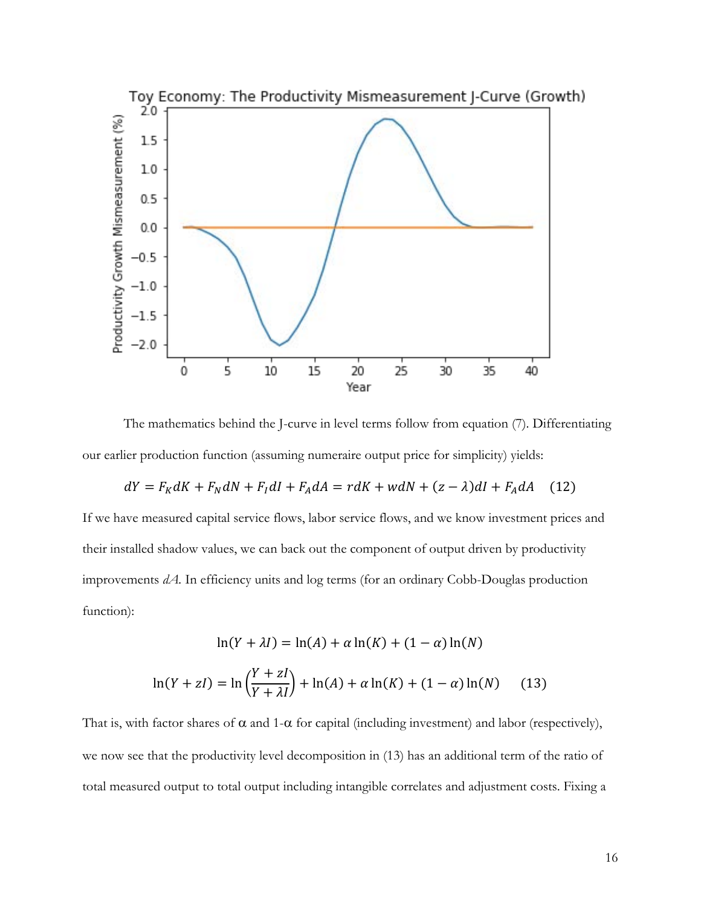

The mathematics behind the J-curve in level terms follow from equation (7). Differentiating our earlier production function (assuming numeraire output price for simplicity) yields:

$$
dY = F_K dK + F_N dN + F_I dI + F_A dA = r dK + w dN + (z - \lambda) dI + F_A dA \quad (12)
$$

If we have measured capital service flows, labor service flows, and we know investment prices and their installed shadow values, we can back out the component of output driven by productivity improvements *dA.* In efficiency units and log terms (for an ordinary Cobb-Douglas production function):

$$
\ln(Y + \lambda I) = \ln(A) + \alpha \ln(K) + (1 - \alpha) \ln(N)
$$

$$
\ln(Y + zI) = \ln\left(\frac{Y + zI}{Y + \lambda I}\right) + \ln(A) + \alpha \ln(K) + (1 - \alpha) \ln(N) \tag{13}
$$

That is, with factor shares of  $\alpha$  and 1- $\alpha$  for capital (including investment) and labor (respectively), we now see that the productivity level decomposition in (13) has an additional term of the ratio of total measured output to total output including intangible correlates and adjustment costs. Fixing a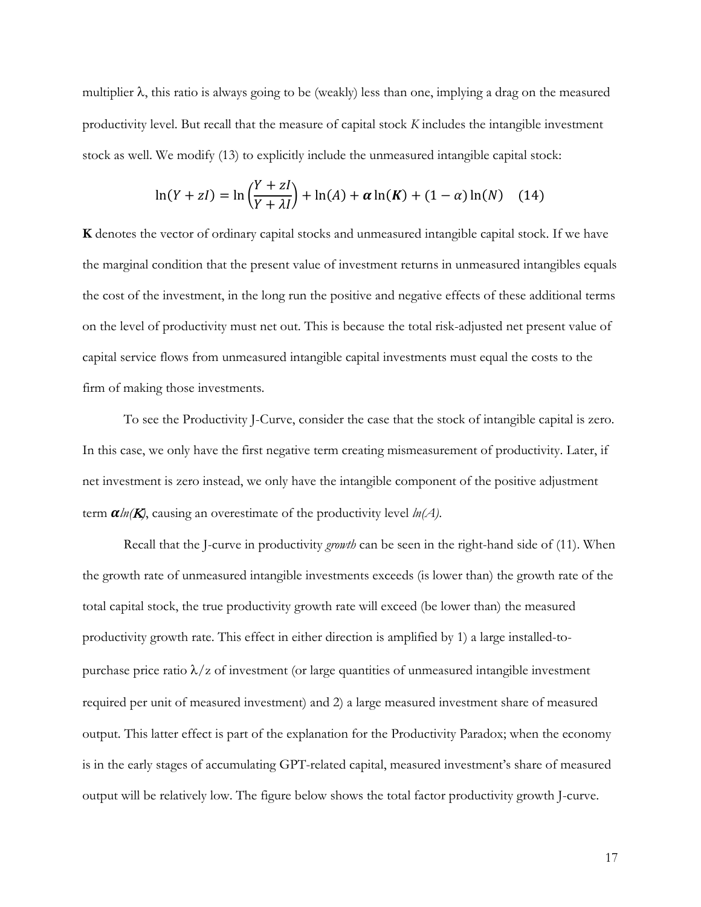multiplier  $\lambda$ , this ratio is always going to be (weakly) less than one, implying a drag on the measured productivity level. But recall that the measure of capital stock *K* includes the intangible investment stock as well. We modify (13) to explicitly include the unmeasured intangible capital stock:

$$
\ln(Y + zI) = \ln\left(\frac{Y + zI}{Y + \lambda I}\right) + \ln(A) + \alpha \ln(K) + (1 - \alpha) \ln(N) \quad (14)
$$

**K** denotes the vector of ordinary capital stocks and unmeasured intangible capital stock. If we have the marginal condition that the present value of investment returns in unmeasured intangibles equals the cost of the investment, in the long run the positive and negative effects of these additional terms on the level of productivity must net out. This is because the total risk-adjusted net present value of capital service flows from unmeasured intangible capital investments must equal the costs to the firm of making those investments.

To see the Productivity J-Curve, consider the case that the stock of intangible capital is zero. In this case, we only have the first negative term creating mismeasurement of productivity. Later, if net investment is zero instead, we only have the intangible component of the positive adjustment term  $\alpha \ln(K)$ , causing an overestimate of the productivity level  $\ln(A)$ .

Recall that the J-curve in productivity *growth* can be seen in the right-hand side of (11). When the growth rate of unmeasured intangible investments exceeds (is lower than) the growth rate of the total capital stock, the true productivity growth rate will exceed (be lower than) the measured productivity growth rate. This effect in either direction is amplified by 1) a large installed-topurchase price ratio  $\lambda$ /z of investment (or large quantities of unmeasured intangible investment required per unit of measured investment) and 2) a large measured investment share of measured output. This latter effect is part of the explanation for the Productivity Paradox; when the economy is in the early stages of accumulating GPT-related capital, measured investment's share of measured output will be relatively low. The figure below shows the total factor productivity growth J-curve.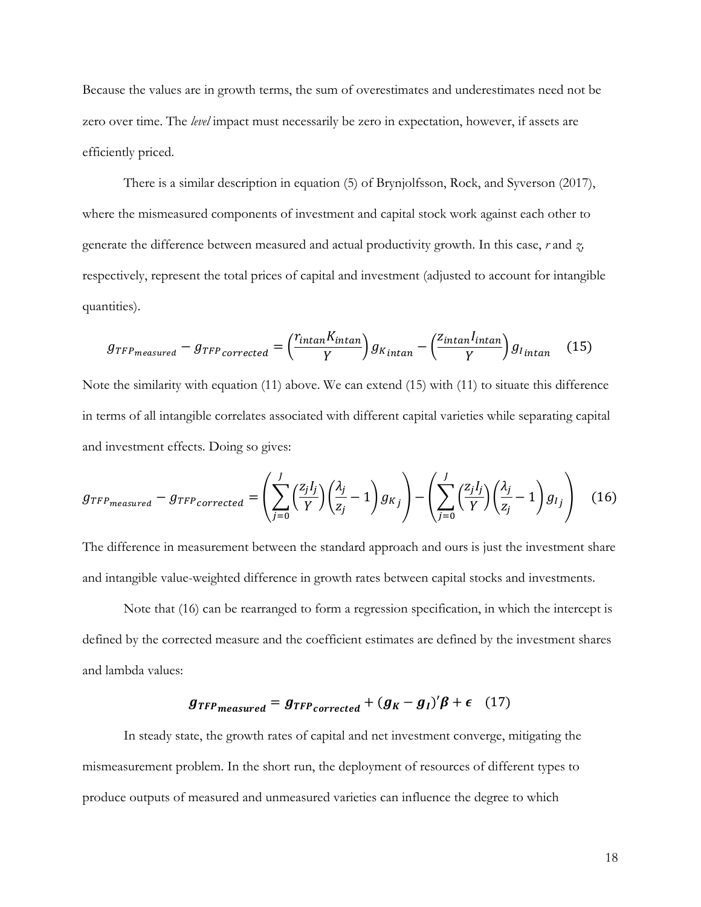Because the values are in growth terms, the sum of overestimates and underestimates need not be zero over time. The *level* impact must necessarily be zero in expectation, however, if assets are efficiently priced.

There is a similar description in equation (5) of Brynjolfsson, Rock, and Syverson (2017), where the mismeasured components of investment and capital stock work against each other to generate the difference between measured and actual productivity growth. In this case, *r* and *z,*  respectively, represent the total prices of capital and investment (adjusted to account for intangible quantities).

$$
g_{TFP_{measured}} - g_{TFP_{corrected}} = \left(\frac{r_{intan}K_{intan}}{Y}\right)g_{K_{intan}} - \left(\frac{z_{intan}I_{intan}}{Y}\right)g_{I_{intan}}
$$
(15)

Note the similarity with equation (11) above. We can extend (15) with (11) to situate this difference in terms of all intangible correlates associated with different capital varieties while separating capital and investment effects. Doing so gives:

$$
g_{TFP_{measured}} - g_{TFP_{corrected}} = \left(\sum_{j=0}^{J} \left(\frac{z_j I_j}{Y}\right) \left(\frac{\lambda_j}{z_j} - 1\right) g_{Kj}\right) - \left(\sum_{j=0}^{J} \left(\frac{z_j I_j}{Y}\right) \left(\frac{\lambda_j}{z_j} - 1\right) g_{Ij}\right)
$$
(16)

The difference in measurement between the standard approach and ours is just the investment share and intangible value-weighted difference in growth rates between capital stocks and investments.

Note that (16) can be rearranged to form a regression specification, in which the intercept is defined by the corrected measure and the coefficient estimates are defined by the investment shares and lambda values:

# $g_{TFP_{measured}} = g_{TFP_{corrected}} + (g_K - g_I)' \beta + \epsilon$  (17)

In steady state, the growth rates of capital and net investment converge, mitigating the mismeasurement problem. In the short run, the deployment of resources of different types to produce outputs of measured and unmeasured varieties can influence the degree to which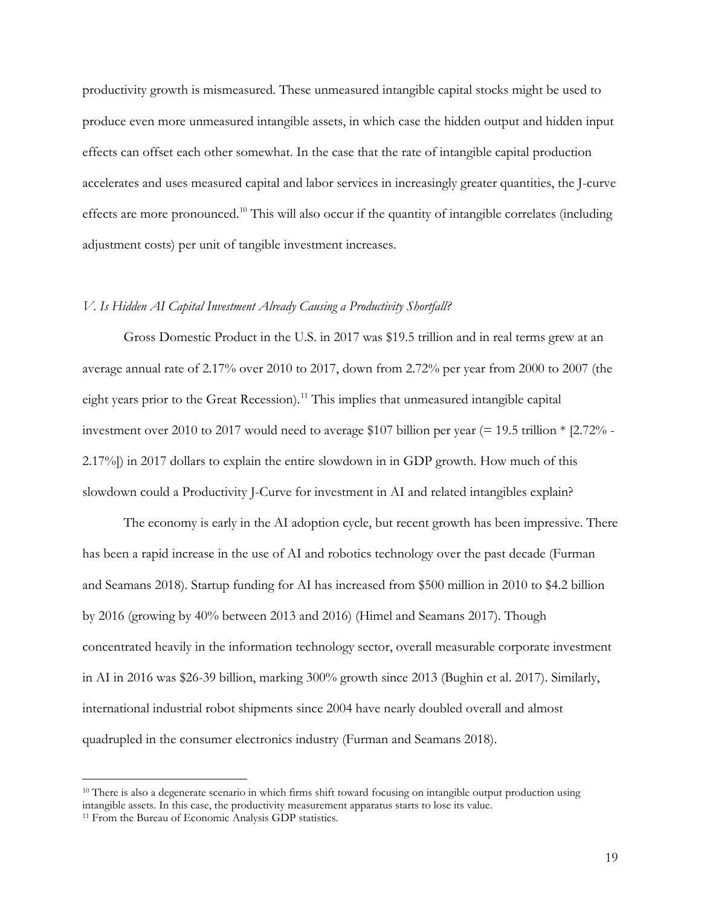productivity growth is mismeasured. These unmeasured intangible capital stocks might be used to produce even more unmeasured intangible assets, in which case the hidden output and hidden input effects can offset each other somewhat. In the case that the rate of intangible capital production accelerates and uses measured capital and labor services in increasingly greater quantities, the J-curve effects are more pronounced.<sup>10</sup> This will also occur if the quantity of intangible correlates (including adjustment costs) per unit of tangible investment increases.

#### *V. Is Hidden AI Capital Investment Already Causing a Productivity Shortfall?*

Gross Domestic Product in the U.S. in 2017 was \$19.5 trillion and in real terms grew at an average annual rate of 2.17% over 2010 to 2017, down from 2.72% per year from 2000 to 2007 (the eight years prior to the Great Recession).<sup>[11](#page-19-1)</sup> This implies that unmeasured intangible capital investment over 2010 to 2017 would need to average \$107 billion per year (= 19.5 trillion \* [2.72% - 2.17%]) in 2017 dollars to explain the entire slowdown in in GDP growth. How much of this slowdown could a Productivity J-Curve for investment in AI and related intangibles explain?

The economy is early in the AI adoption cycle, but recent growth has been impressive. There has been a rapid increase in the use of AI and robotics technology over the past decade (Furman and Seamans 2018). Startup funding for AI has increased from \$500 million in 2010 to \$4.2 billion by 2016 (growing by 40% between 2013 and 2016) (Himel and Seamans 2017). Though concentrated heavily in the information technology sector, overall measurable corporate investment in AI in 2016 was \$26-39 billion, marking 300% growth since 2013 (Bughin et al. 2017). Similarly, international industrial robot shipments since 2004 have nearly doubled overall and almost quadrupled in the consumer electronics industry (Furman and Seamans 2018).

<span id="page-19-0"></span> $10$  There is also a degenerate scenario in which firms shift toward focusing on intangible output production using intangible assets. In this case, the productivity measurement apparatus starts to lose its value.

<span id="page-19-1"></span><sup>&</sup>lt;sup>11</sup> From the Bureau of Economic Analysis GDP statistics.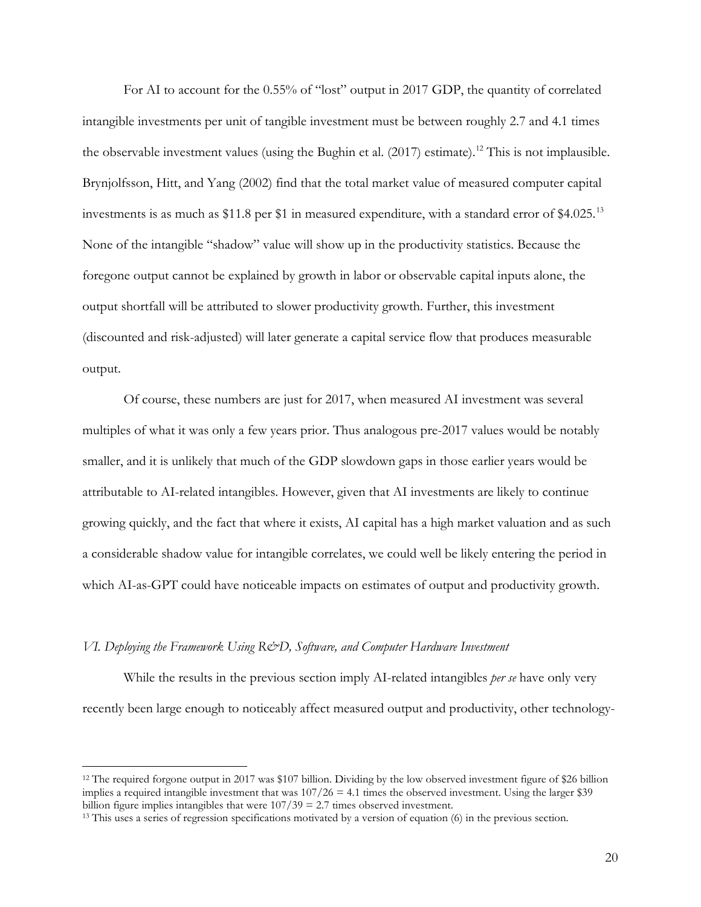For AI to account for the 0.55% of "lost" output in 2017 GDP, the quantity of correlated intangible investments per unit of tangible investment must be between roughly 2.7 and 4.1 times the observable investment values (using the Bughin et al.  $(2017)$  estimate).<sup>[12](#page-20-0)</sup> This is not implausible. Brynjolfsson, Hitt, and Yang (2002) find that the total market value of measured computer capital investments is as much as \$11.8 per \$1 in measured expenditure, with a standard error of \$4.025.<sup>[13](#page-20-1)</sup> None of the intangible "shadow" value will show up in the productivity statistics. Because the foregone output cannot be explained by growth in labor or observable capital inputs alone, the output shortfall will be attributed to slower productivity growth. Further, this investment (discounted and risk-adjusted) will later generate a capital service flow that produces measurable output.

Of course, these numbers are just for 2017, when measured AI investment was several multiples of what it was only a few years prior. Thus analogous pre-2017 values would be notably smaller, and it is unlikely that much of the GDP slowdown gaps in those earlier years would be attributable to AI-related intangibles. However, given that AI investments are likely to continue growing quickly, and the fact that where it exists, AI capital has a high market valuation and as such a considerable shadow value for intangible correlates, we could well be likely entering the period in which AI-as-GPT could have noticeable impacts on estimates of output and productivity growth.

#### *VI. Deploying the Framework Using R&D, Software, and Computer Hardware Investment*

 $\overline{a}$ 

 While the results in the previous section imply AI-related intangibles *per se* have only very recently been large enough to noticeably affect measured output and productivity, other technology-

<span id="page-20-0"></span><sup>&</sup>lt;sup>12</sup> The required forgone output in 2017 was \$107 billion. Dividing by the low observed investment figure of \$26 billion implies a required intangible investment that was  $107/26 = 4.1$  times the observed investment. Using the larger \$39 billion figure implies intangibles that were  $107/39 = 2.7$  times observed investment.

<span id="page-20-1"></span><sup>&</sup>lt;sup>13</sup> This uses a series of regression specifications motivated by a version of equation (6) in the previous section.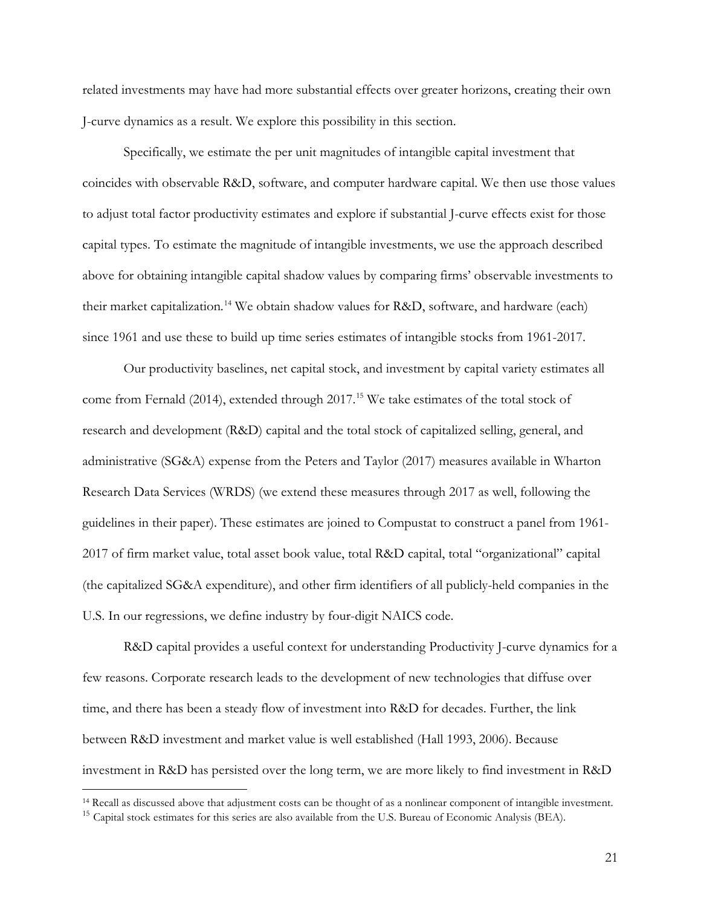related investments may have had more substantial effects over greater horizons, creating their own J-curve dynamics as a result. We explore this possibility in this section.

Specifically, we estimate the per unit magnitudes of intangible capital investment that coincides with observable R&D, software, and computer hardware capital. We then use those values to adjust total factor productivity estimates and explore if substantial J-curve effects exist for those capital types. To estimate the magnitude of intangible investments, we use the approach described above for obtaining intangible capital shadow values by comparing firms' observable investments to their market capitalization.<sup>[14](#page-21-0)</sup> We obtain shadow values for R&D, software, and hardware (each) since 1961 and use these to build up time series estimates of intangible stocks from 1961-2017.

 Our productivity baselines, net capital stock, and investment by capital variety estimates all come from Fernald (2014), extended through 2017.<sup>[15](#page-21-1)</sup> We take estimates of the total stock of research and development (R&D) capital and the total stock of capitalized selling, general, and administrative (SG&A) expense from the Peters and Taylor (2017) measures available in Wharton Research Data Services (WRDS) (we extend these measures through 2017 as well, following the guidelines in their paper). These estimates are joined to Compustat to construct a panel from 1961- 2017 of firm market value, total asset book value, total R&D capital, total "organizational" capital (the capitalized SG&A expenditure), and other firm identifiers of all publicly-held companies in the U.S. In our regressions, we define industry by four-digit NAICS code.

 R&D capital provides a useful context for understanding Productivity J-curve dynamics for a few reasons. Corporate research leads to the development of new technologies that diffuse over time, and there has been a steady flow of investment into R&D for decades. Further, the link between R&D investment and market value is well established (Hall 1993, 2006). Because investment in R&D has persisted over the long term, we are more likely to find investment in R&D

<span id="page-21-0"></span><sup>14</sup> Recall as discussed above that adjustment costs can be thought of as a nonlinear component of intangible investment.

<span id="page-21-1"></span><sup>&</sup>lt;sup>15</sup> Capital stock estimates for this series are also available from the U.S. Bureau of Economic Analysis (BEA).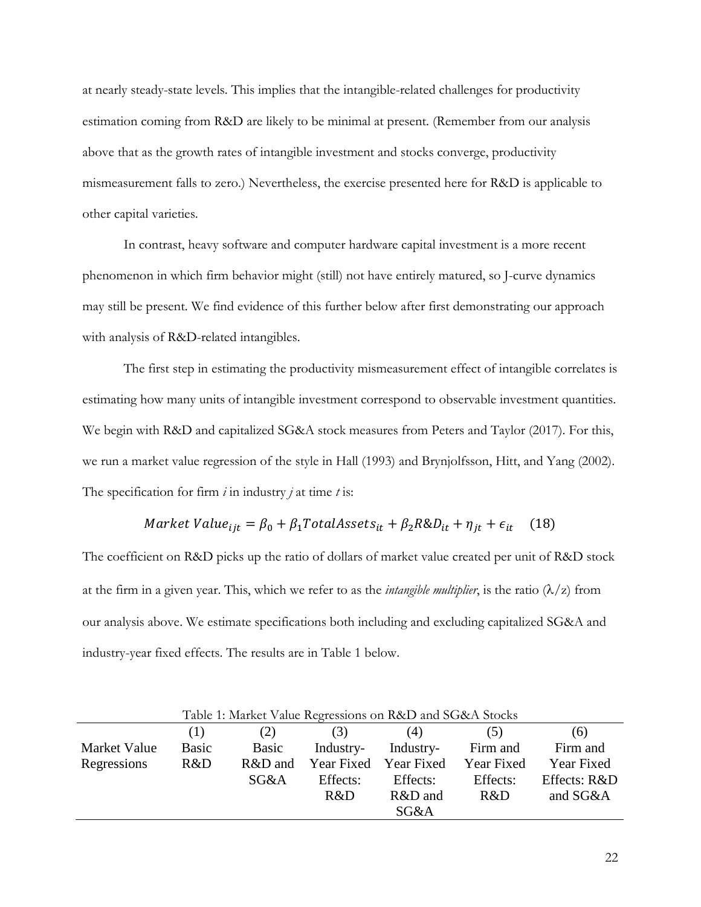at nearly steady-state levels. This implies that the intangible-related challenges for productivity estimation coming from R&D are likely to be minimal at present. (Remember from our analysis above that as the growth rates of intangible investment and stocks converge, productivity mismeasurement falls to zero.) Nevertheless, the exercise presented here for R&D is applicable to other capital varieties.

In contrast, heavy software and computer hardware capital investment is a more recent phenomenon in which firm behavior might (still) not have entirely matured, so J-curve dynamics may still be present. We find evidence of this further below after first demonstrating our approach with analysis of R&D-related intangibles.

The first step in estimating the productivity mismeasurement effect of intangible correlates is estimating how many units of intangible investment correspond to observable investment quantities. We begin with R&D and capitalized SG&A stock measures from Peters and Taylor (2017). For this, we run a market value regression of the style in Hall (1993) and Brynjolfsson, Hitt, and Yang (2002). The specification for firm *i* in industry *j* at time *t* is:

# Market Value<sub>ijt</sub> =  $\beta_0 + \beta_1 \text{TotalAssets}_{it} + \beta_2 \text{R\&D}_{it} + \eta_{it} + \epsilon_{it}$  (18)

The coefficient on R&D picks up the ratio of dollars of market value created per unit of R&D stock at the firm in a given year. This, which we refer to as the *intangible multiplier*, is the ratio  $(\lambda/z)$  from our analysis above. We estimate specifications both including and excluding capitalized SG&A and industry-year fixed effects. The results are in Table 1 below.

| Table 1: Market Value Regressions on R&D and SG&A Stocks |       |         |           |                       |            |              |  |  |  |
|----------------------------------------------------------|-------|---------|-----------|-----------------------|------------|--------------|--|--|--|
|                                                          | (1)   | (2)     | (3)       | (4)                   | (5)        | (6)          |  |  |  |
| Market Value                                             | Basic | Basic   | Industry- | Industry-             | Firm and   | Firm and     |  |  |  |
| Regressions                                              | R&D   | R&D and |           | Year Fixed Year Fixed | Year Fixed | Year Fixed   |  |  |  |
|                                                          |       | SG&A    | Effects:  | Effects:              | Effects:   | Effects: R&D |  |  |  |
|                                                          |       |         | R&D       | R&D and               | R&D        | and SG&A     |  |  |  |
|                                                          |       |         |           | SG&A                  |            |              |  |  |  |

 $T<sub>1</sub>$  1:  $M<sub>2</sub>$  and  $M<sub>2</sub>$  and  $R<sub>2</sub>$  and  $R<sub>2</sub>$  and  $R<sub>2</sub>$  and  $R<sub>2</sub>$  and  $R<sub>2</sub>$  and  $R<sub>2</sub>$  and  $R<sub>2</sub>$  and  $R<sub>2</sub>$  and  $R<sub>2</sub>$  and  $R<sub>2</sub>$  and  $R<sub>2</sub>$  and  $R<sub>2</sub>$  a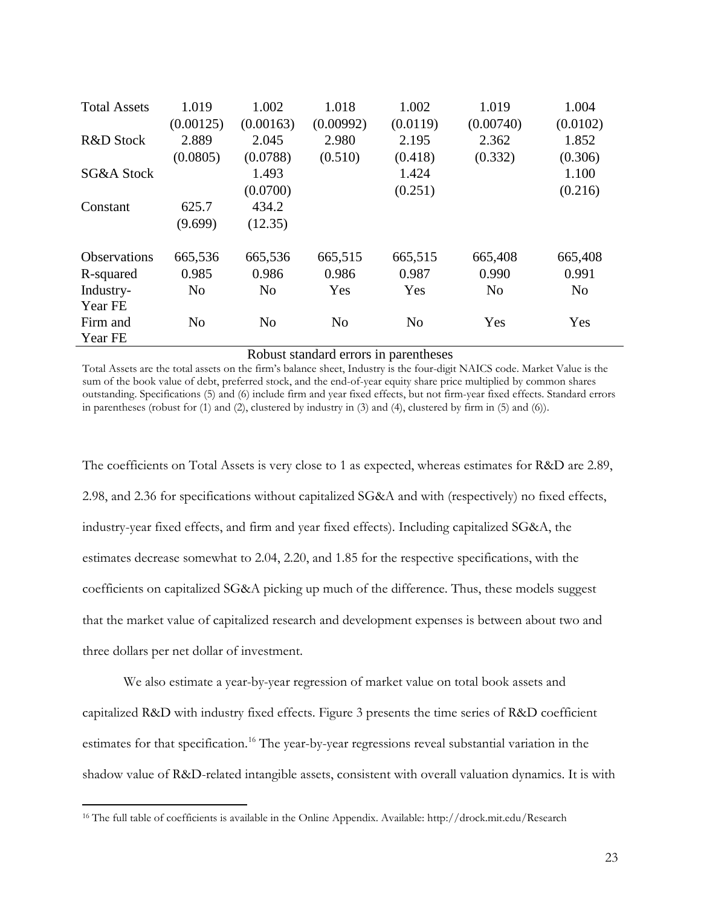| <b>Total Assets</b>  | 1.019<br>(0.00125) | 1.002<br>(0.00163) | 1.018<br>(0.00992) | 1.002<br>(0.0119) | 1.019<br>(0.00740) | 1.004<br>(0.0102) |
|----------------------|--------------------|--------------------|--------------------|-------------------|--------------------|-------------------|
| <b>R&amp;D</b> Stock | 2.889              | 2.045              | 2.980              | 2.195             | 2.362              | 1.852             |
|                      | (0.0805)           | (0.0788)           | (0.510)            | (0.418)           | (0.332)            | (0.306)           |
| SG&A Stock           |                    | 1.493              |                    | 1.424             |                    | 1.100             |
|                      |                    | (0.0700)           |                    | (0.251)           |                    | (0.216)           |
| Constant             | 625.7              | 434.2              |                    |                   |                    |                   |
|                      | (9.699)            | (12.35)            |                    |                   |                    |                   |
| <b>Observations</b>  | 665,536            | 665,536            | 665,515            | 665,515           | 665,408            | 665,408           |
| R-squared            | 0.985              | 0.986              | 0.986              | 0.987             | 0.990              | 0.991             |
| Industry-            | N <sub>o</sub>     | N <sub>o</sub>     | Yes                | Yes               | N <sub>o</sub>     | N <sub>o</sub>    |
| Year FE              |                    |                    |                    |                   |                    |                   |
| Firm and             | N <sub>o</sub>     | N <sub>o</sub>     | N <sub>o</sub>     | N <sub>o</sub>    | Yes                | Yes               |
| Year FE              |                    |                    |                    |                   |                    |                   |

#### Robust standard errors in parentheses

Total Assets are the total assets on the firm's balance sheet, Industry is the four-digit NAICS code. Market Value is the sum of the book value of debt, preferred stock, and the end-of-year equity share price multiplied by common shares outstanding. Specifications (5) and (6) include firm and year fixed effects, but not firm-year fixed effects. Standard errors in parentheses (robust for (1) and (2), clustered by industry in (3) and (4), clustered by firm in (5) and (6)).

The coefficients on Total Assets is very close to 1 as expected, whereas estimates for R&D are 2.89, 2.98, and 2.36 for specifications without capitalized SG&A and with (respectively) no fixed effects, industry-year fixed effects, and firm and year fixed effects). Including capitalized SG&A, the estimates decrease somewhat to 2.04, 2.20, and 1.85 for the respective specifications, with the coefficients on capitalized SG&A picking up much of the difference. Thus, these models suggest that the market value of capitalized research and development expenses is between about two and three dollars per net dollar of investment.

We also estimate a year-by-year regression of market value on total book assets and capitalized R&D with industry fixed effects. Figure 3 presents the time series of R&D coefficient estimates for that specification.<sup>[16](#page-23-0)</sup> The year-by-year regressions reveal substantial variation in the shadow value of R&D-related intangible assets, consistent with overall valuation dynamics. It is with

<span id="page-23-0"></span><sup>16</sup> The full table of coefficients is available in the Online Appendix. Available: http://drock.mit.edu/Research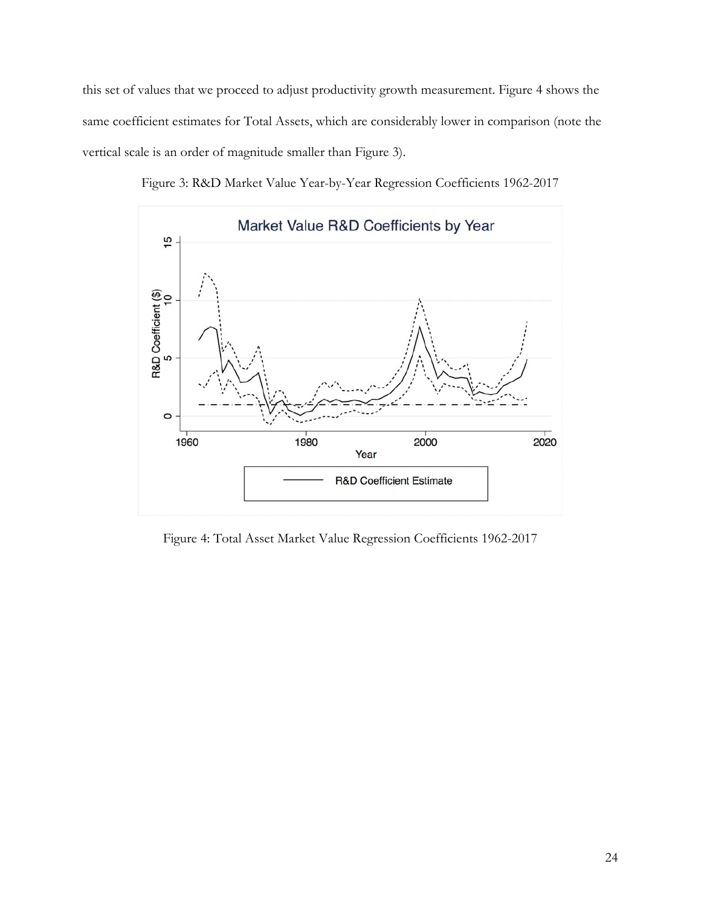this set of values that we proceed to adjust productivity growth measurement. Figure 4 shows the same coefficient estimates for Total Assets, which are considerably lower in comparison (note the vertical scale is an order of magnitude smaller than Figure 3).



Figure 3: R&D Market Value Year-by-Year Regression Coefficients 1962-2017

Figure 4: Total Asset Market Value Regression Coefficients 1962-2017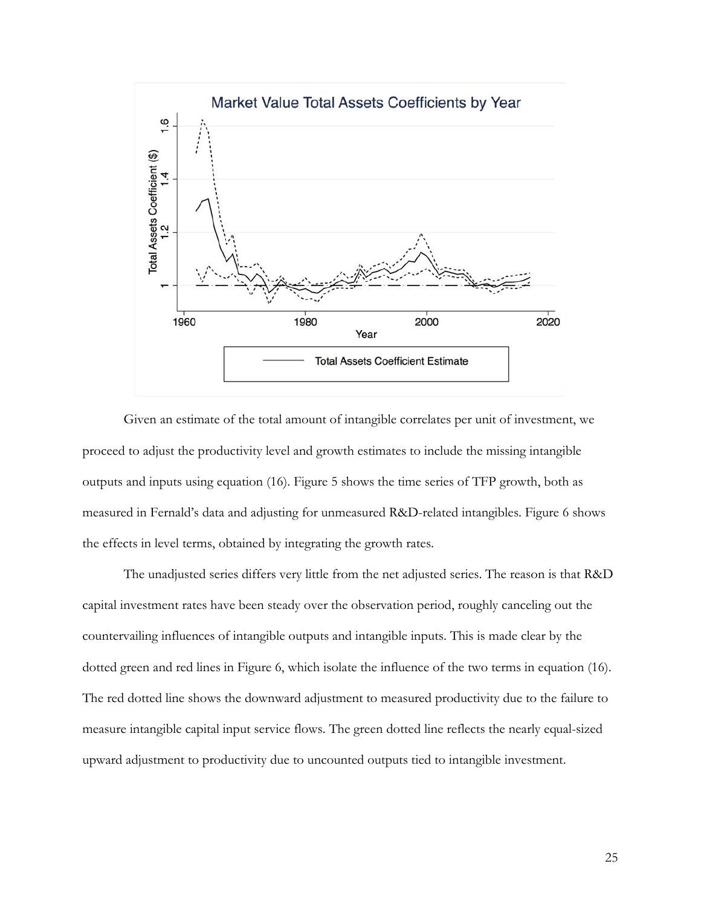

Given an estimate of the total amount of intangible correlates per unit of investment, we proceed to adjust the productivity level and growth estimates to include the missing intangible outputs and inputs using equation (16). Figure 5 shows the time series of TFP growth, both as measured in Fernald's data and adjusting for unmeasured R&D-related intangibles. Figure 6 shows the effects in level terms, obtained by integrating the growth rates.

The unadjusted series differs very little from the net adjusted series. The reason is that R&D capital investment rates have been steady over the observation period, roughly canceling out the countervailing influences of intangible outputs and intangible inputs. This is made clear by the dotted green and red lines in Figure 6, which isolate the influence of the two terms in equation (16). The red dotted line shows the downward adjustment to measured productivity due to the failure to measure intangible capital input service flows. The green dotted line reflects the nearly equal-sized upward adjustment to productivity due to uncounted outputs tied to intangible investment.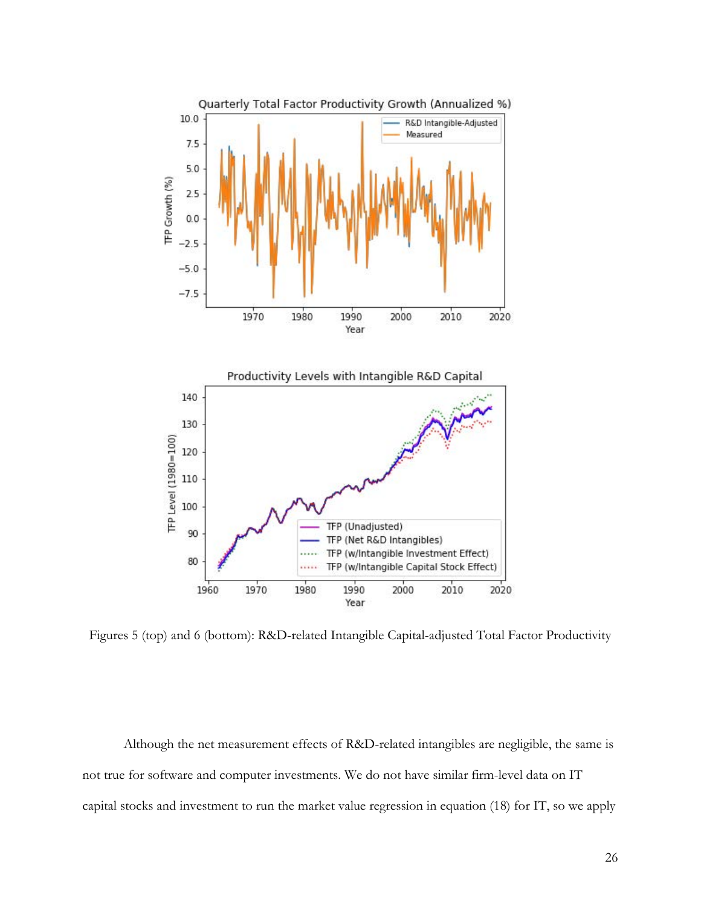

Figures 5 (top) and 6 (bottom): R&D-related Intangible Capital-adjusted Total Factor Productivity

 Although the net measurement effects of R&D-related intangibles are negligible, the same is not true for software and computer investments. We do not have similar firm-level data on IT capital stocks and investment to run the market value regression in equation (18) for IT, so we apply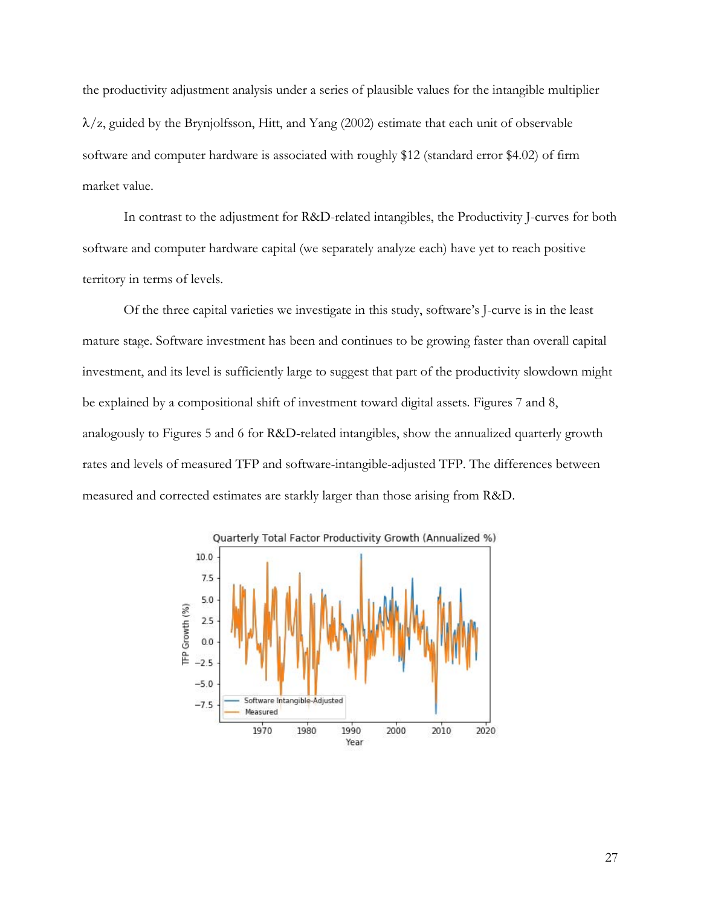the productivity adjustment analysis under a series of plausible values for the intangible multiplier  $\lambda$ /z, guided by the Brynjolfsson, Hitt, and Yang (2002) estimate that each unit of observable software and computer hardware is associated with roughly \$12 (standard error \$4.02) of firm market value.

In contrast to the adjustment for R&D-related intangibles, the Productivity J-curves for both software and computer hardware capital (we separately analyze each) have yet to reach positive territory in terms of levels.

Of the three capital varieties we investigate in this study, software's J-curve is in the least mature stage. Software investment has been and continues to be growing faster than overall capital investment, and its level is sufficiently large to suggest that part of the productivity slowdown might be explained by a compositional shift of investment toward digital assets. Figures 7 and 8, analogously to Figures 5 and 6 for R&D-related intangibles, show the annualized quarterly growth rates and levels of measured TFP and software-intangible-adjusted TFP. The differences between measured and corrected estimates are starkly larger than those arising from R&D.

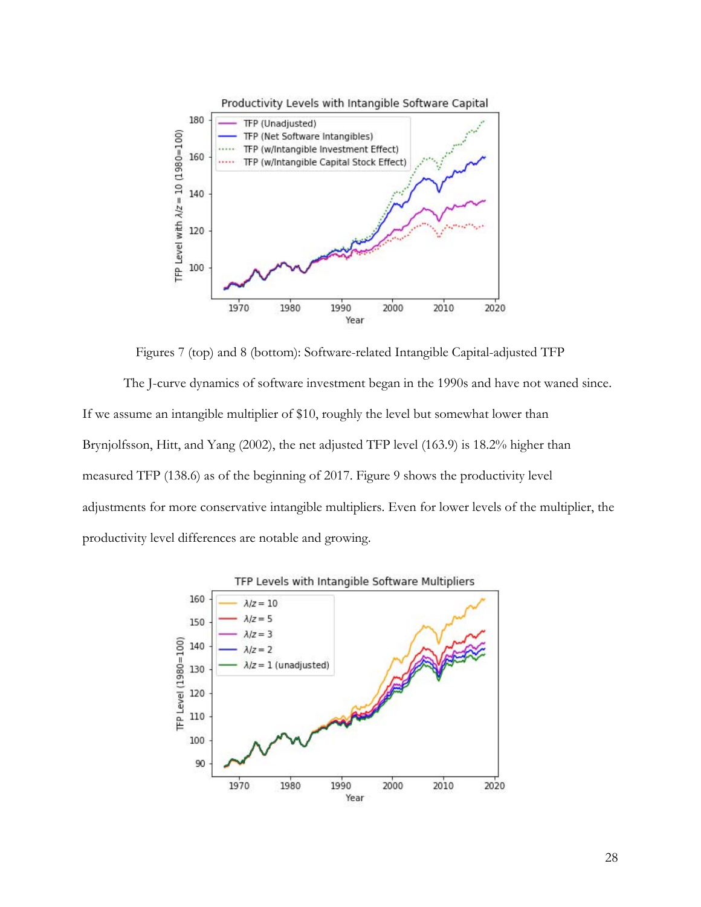

Figures 7 (top) and 8 (bottom): Software-related Intangible Capital-adjusted TFP

The J-curve dynamics of software investment began in the 1990s and have not waned since. If we assume an intangible multiplier of \$10, roughly the level but somewhat lower than Brynjolfsson, Hitt, and Yang (2002), the net adjusted TFP level (163.9) is 18.2% higher than measured TFP (138.6) as of the beginning of 2017. Figure 9 shows the productivity level adjustments for more conservative intangible multipliers. Even for lower levels of the multiplier, the productivity level differences are notable and growing.

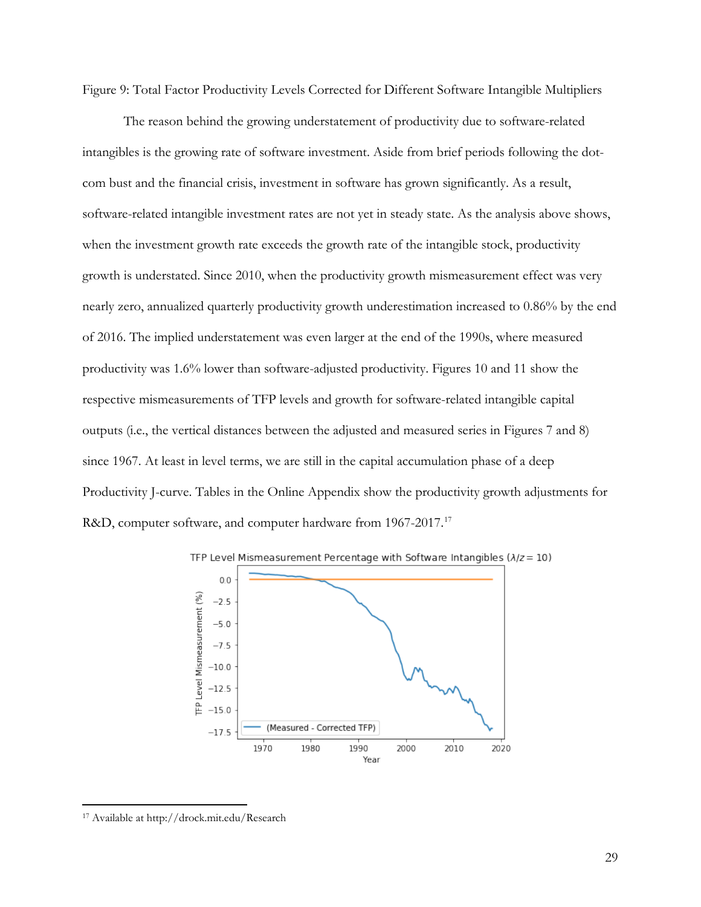Figure 9: Total Factor Productivity Levels Corrected for Different Software Intangible Multipliers

The reason behind the growing understatement of productivity due to software-related intangibles is the growing rate of software investment. Aside from brief periods following the dotcom bust and the financial crisis, investment in software has grown significantly. As a result, software-related intangible investment rates are not yet in steady state. As the analysis above shows, when the investment growth rate exceeds the growth rate of the intangible stock, productivity growth is understated. Since 2010, when the productivity growth mismeasurement effect was very nearly zero, annualized quarterly productivity growth underestimation increased to 0.86% by the end of 2016. The implied understatement was even larger at the end of the 1990s, where measured productivity was 1.6% lower than software-adjusted productivity. Figures 10 and 11 show the respective mismeasurements of TFP levels and growth for software-related intangible capital outputs (i.e., the vertical distances between the adjusted and measured series in Figures 7 and 8) since 1967. At least in level terms, we are still in the capital accumulation phase of a deep Productivity J-curve. Tables in the Online Appendix show the productivity growth adjustments for R&D, computer software, and computer hardware from 1967-2017.<sup>17</sup>





<span id="page-29-0"></span><sup>17</sup> Available at http://drock.mit.edu/Research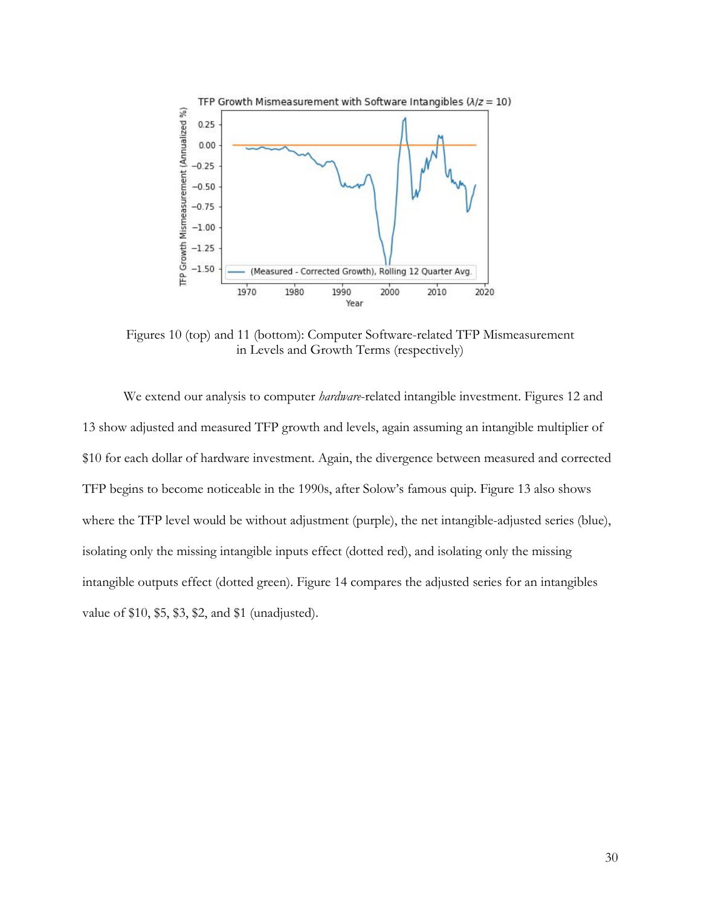

Figures 10 (top) and 11 (bottom): Computer Software-related TFP Mismeasurement in Levels and Growth Terms (respectively)

We extend our analysis to computer *hardware*-related intangible investment. Figures 12 and 13 show adjusted and measured TFP growth and levels, again assuming an intangible multiplier of \$10 for each dollar of hardware investment. Again, the divergence between measured and corrected TFP begins to become noticeable in the 1990s, after Solow's famous quip. Figure 13 also shows where the TFP level would be without adjustment (purple), the net intangible-adjusted series (blue), isolating only the missing intangible inputs effect (dotted red), and isolating only the missing intangible outputs effect (dotted green). Figure 14 compares the adjusted series for an intangibles value of \$10, \$5, \$3, \$2, and \$1 (unadjusted).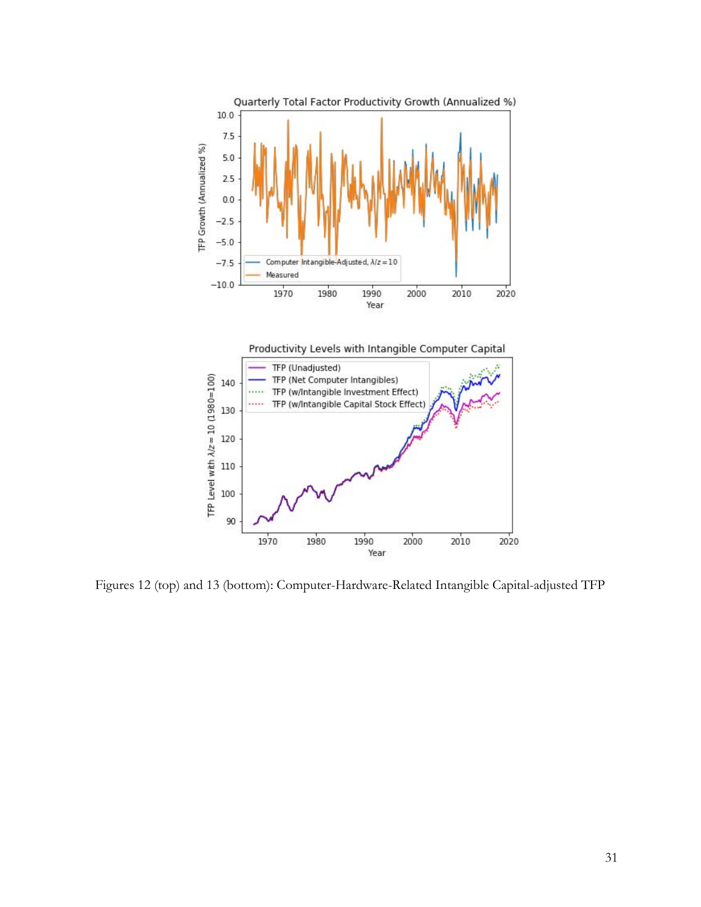



Figures 12 (top) and 13 (bottom): Computer-Hardware-Related Intangible Capital-adjusted TFP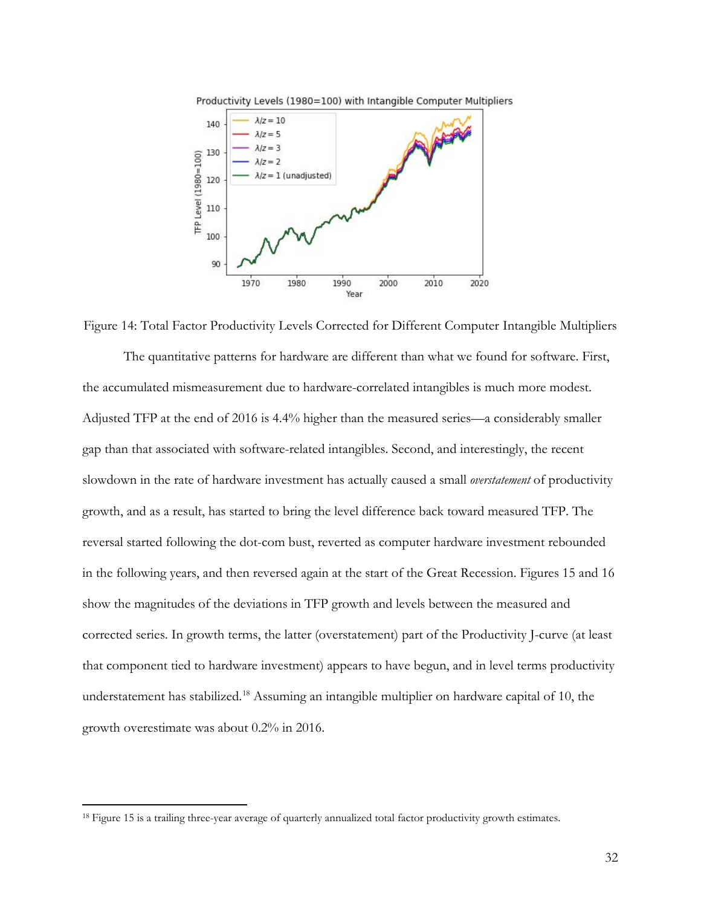

Figure 14: Total Factor Productivity Levels Corrected for Different Computer Intangible Multipliers The quantitative patterns for hardware are different than what we found for software. First,

the accumulated mismeasurement due to hardware-correlated intangibles is much more modest. Adjusted TFP at the end of 2016 is 4.4% higher than the measured series—a considerably smaller gap than that associated with software-related intangibles. Second, and interestingly, the recent slowdown in the rate of hardware investment has actually caused a small *overstatement* of productivity growth, and as a result, has started to bring the level difference back toward measured TFP. The reversal started following the dot-com bust, reverted as computer hardware investment rebounded in the following years, and then reversed again at the start of the Great Recession. Figures 15 and 16 show the magnitudes of the deviations in TFP growth and levels between the measured and corrected series. In growth terms, the latter (overstatement) part of the Productivity J-curve (at least that component tied to hardware investment) appears to have begun, and in level terms productivity understatement has stabilized. [18](#page-32-0) Assuming an intangible multiplier on hardware capital of 10, the growth overestimate was about 0.2% in 2016.

 $\overline{a}$ 

32

<span id="page-32-0"></span><sup>&</sup>lt;sup>18</sup> Figure 15 is a trailing three-year average of quarterly annualized total factor productivity growth estimates.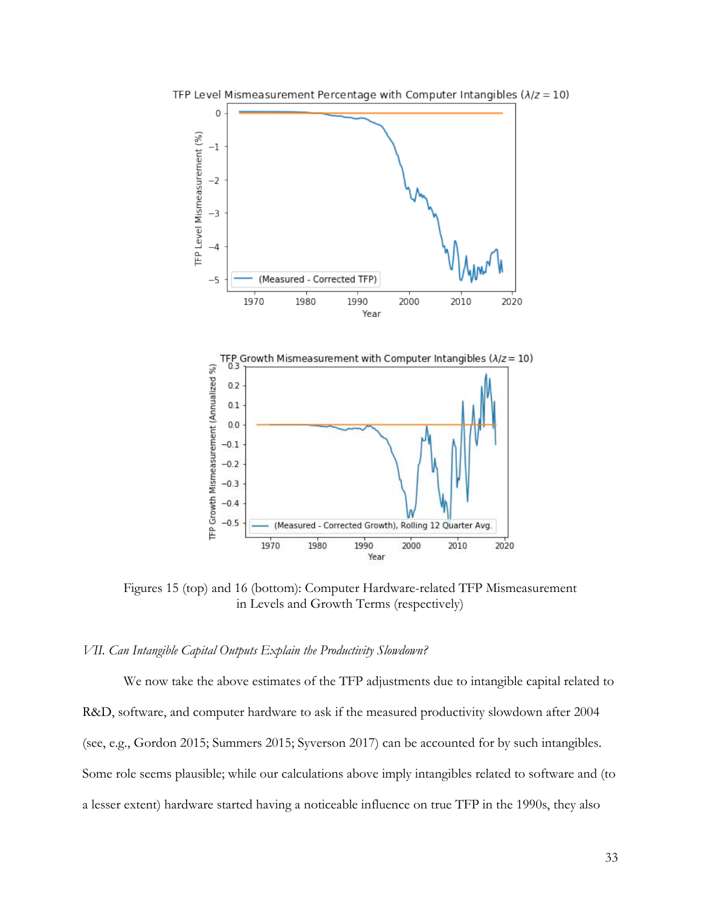

TFP Level Mismeasurement Percentage with Computer Intangibles ( $\lambda$ / $z$  = 10)

Figures 15 (top) and 16 (bottom): Computer Hardware-related TFP Mismeasurement in Levels and Growth Terms (respectively)

#### *VII. Can Intangible Capital Outputs Explain the Productivity Slowdown?*

We now take the above estimates of the TFP adjustments due to intangible capital related to R&D, software, and computer hardware to ask if the measured productivity slowdown after 2004 (see, e.g., Gordon 2015; Summers 2015; Syverson 2017) can be accounted for by such intangibles. Some role seems plausible; while our calculations above imply intangibles related to software and (to a lesser extent) hardware started having a noticeable influence on true TFP in the 1990s, they also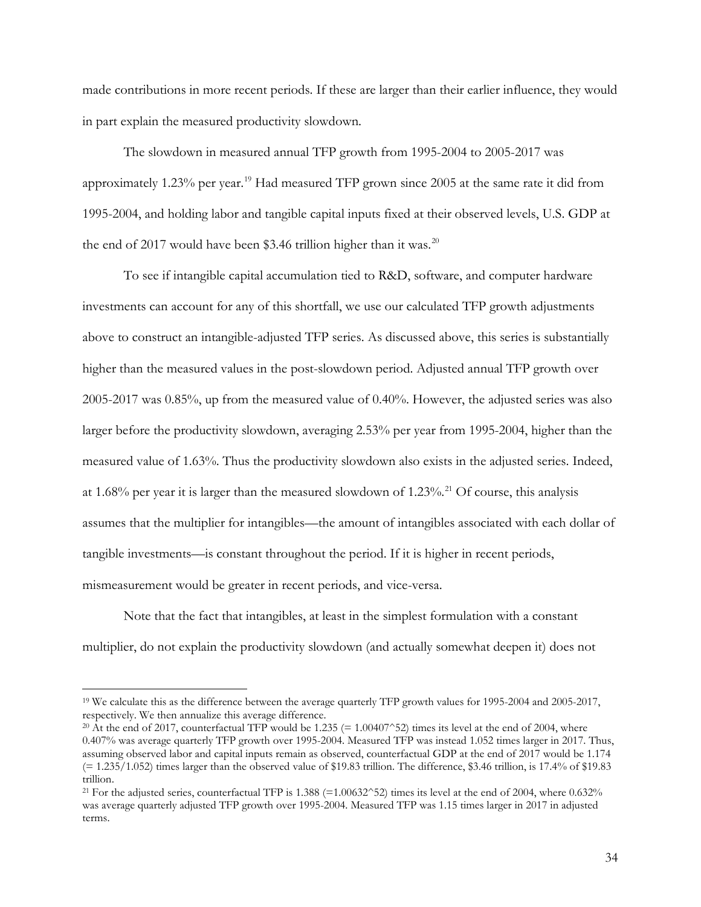made contributions in more recent periods. If these are larger than their earlier influence, they would in part explain the measured productivity slowdown.

 The slowdown in measured annual TFP growth from 1995-2004 to 2005-2017 was approximately 1.23% per year.<sup>19</sup> Had measured TFP grown since 2005 at the same rate it did from 1995-2004, and holding labor and tangible capital inputs fixed at their observed levels, U.S. GDP at the end of [20](#page-34-1)17 would have been \$3.46 trillion higher than it was.<sup>20</sup>

To see if intangible capital accumulation tied to R&D, software, and computer hardware investments can account for any of this shortfall, we use our calculated TFP growth adjustments above to construct an intangible-adjusted TFP series. As discussed above, this series is substantially higher than the measured values in the post-slowdown period. Adjusted annual TFP growth over 2005-2017 was 0.85%, up from the measured value of 0.40%. However, the adjusted series was also larger before the productivity slowdown, averaging 2.53% per year from 1995-2004, higher than the measured value of 1.63%. Thus the productivity slowdown also exists in the adjusted series. Indeed, at 1.68% per year it is larger than the measured slowdown of 1.23%.<sup>[21](#page-34-2)</sup> Of course, this analysis assumes that the multiplier for intangibles—the amount of intangibles associated with each dollar of tangible investments—is constant throughout the period. If it is higher in recent periods, mismeasurement would be greater in recent periods, and vice-versa.

Note that the fact that intangibles, at least in the simplest formulation with a constant multiplier, do not explain the productivity slowdown (and actually somewhat deepen it) does not

<span id="page-34-0"></span><sup>&</sup>lt;sup>19</sup> We calculate this as the difference between the average quarterly TFP growth values for 1995-2004 and 2005-2017, respectively. We then annualize this average difference.

<span id="page-34-1"></span><sup>&</sup>lt;sup>20</sup> At the end of 2017, counterfactual TFP would be 1.235 (= 1.00407^52) times its level at the end of 2004, where 0.407% was average quarterly TFP growth over 1995-2004. Measured TFP was instead 1.052 times larger in 2017. Thus, assuming observed labor and capital inputs remain as observed, counterfactual GDP at the end of 2017 would be 1.174  $(= 1.235/1.052)$  times larger than the observed value of \$19.83 trillion. The difference, \$3.46 trillion, is 17.4% of \$19.83 trillion.

<span id="page-34-2"></span><sup>&</sup>lt;sup>21</sup> For the adjusted series, counterfactual TFP is 1.388 (=1.00632^52) times its level at the end of 2004, where 0.632% was average quarterly adjusted TFP growth over 1995-2004. Measured TFP was 1.15 times larger in 2017 in adjusted terms.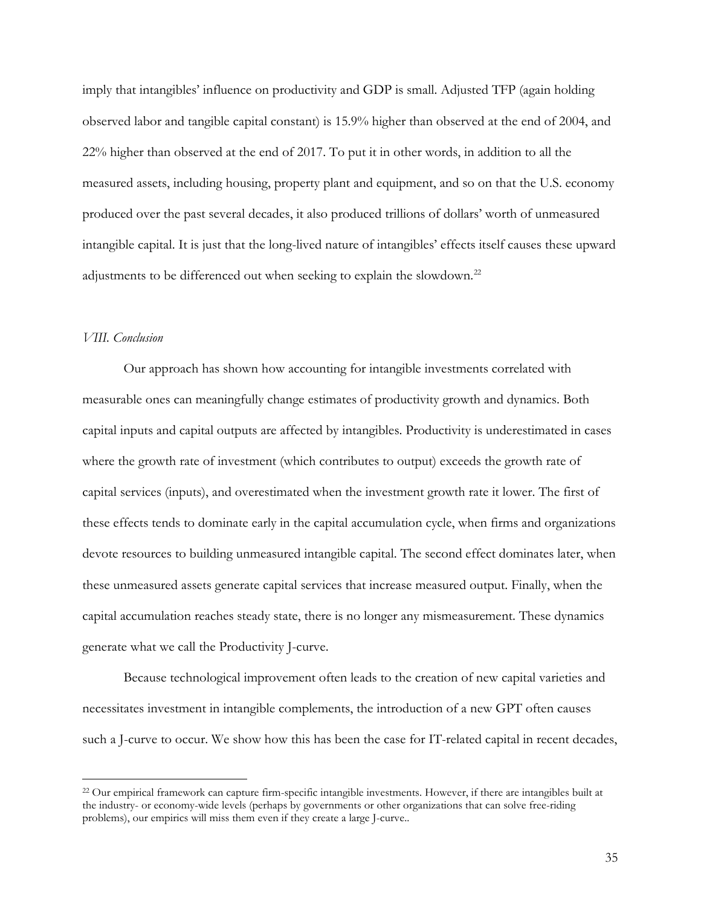imply that intangibles' influence on productivity and GDP is small. Adjusted TFP (again holding observed labor and tangible capital constant) is 15.9% higher than observed at the end of 2004, and 22% higher than observed at the end of 2017. To put it in other words, in addition to all the measured assets, including housing, property plant and equipment, and so on that the U.S. economy produced over the past several decades, it also produced trillions of dollars' worth of unmeasured intangible capital. It is just that the long-lived nature of intangibles' effects itself causes these upward adjustments to be differenced out when seeking to explain the slowdown.<sup>[22](#page-35-0)</sup>

# *VIII. Conclusion*

 $\overline{a}$ 

Our approach has shown how accounting for intangible investments correlated with measurable ones can meaningfully change estimates of productivity growth and dynamics. Both capital inputs and capital outputs are affected by intangibles. Productivity is underestimated in cases where the growth rate of investment (which contributes to output) exceeds the growth rate of capital services (inputs), and overestimated when the investment growth rate it lower. The first of these effects tends to dominate early in the capital accumulation cycle, when firms and organizations devote resources to building unmeasured intangible capital. The second effect dominates later, when these unmeasured assets generate capital services that increase measured output. Finally, when the capital accumulation reaches steady state, there is no longer any mismeasurement. These dynamics generate what we call the Productivity J-curve.

Because technological improvement often leads to the creation of new capital varieties and necessitates investment in intangible complements, the introduction of a new GPT often causes such a J-curve to occur. We show how this has been the case for IT-related capital in recent decades,

<span id="page-35-0"></span><sup>&</sup>lt;sup>22</sup> Our empirical framework can capture firm-specific intangible investments. However, if there are intangibles built at the industry- or economy-wide levels (perhaps by governments or other organizations that can solve free-riding problems), our empirics will miss them even if they create a large J-curve..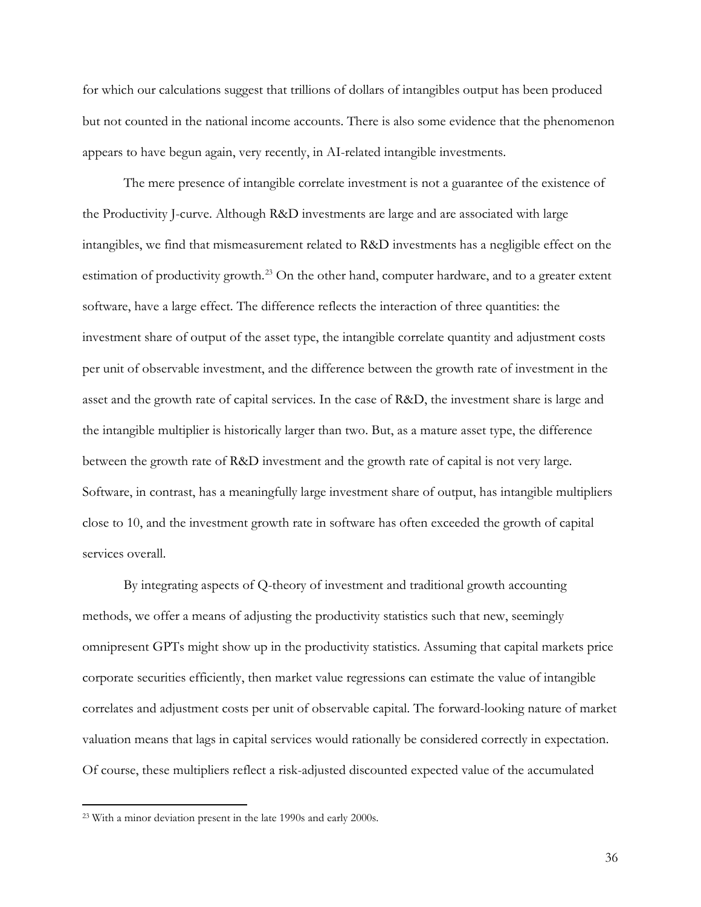for which our calculations suggest that trillions of dollars of intangibles output has been produced but not counted in the national income accounts. There is also some evidence that the phenomenon appears to have begun again, very recently, in AI-related intangible investments.

The mere presence of intangible correlate investment is not a guarantee of the existence of the Productivity J-curve. Although R&D investments are large and are associated with large intangibles, we find that mismeasurement related to R&D investments has a negligible effect on the estimation of productivity growth.<sup>[23](#page-36-0)</sup> On the other hand, computer hardware, and to a greater extent software, have a large effect. The difference reflects the interaction of three quantities: the investment share of output of the asset type, the intangible correlate quantity and adjustment costs per unit of observable investment, and the difference between the growth rate of investment in the asset and the growth rate of capital services. In the case of R&D, the investment share is large and the intangible multiplier is historically larger than two. But, as a mature asset type, the difference between the growth rate of R&D investment and the growth rate of capital is not very large. Software, in contrast, has a meaningfully large investment share of output, has intangible multipliers close to 10, and the investment growth rate in software has often exceeded the growth of capital services overall.

By integrating aspects of Q-theory of investment and traditional growth accounting methods, we offer a means of adjusting the productivity statistics such that new, seemingly omnipresent GPTs might show up in the productivity statistics. Assuming that capital markets price corporate securities efficiently, then market value regressions can estimate the value of intangible correlates and adjustment costs per unit of observable capital. The forward-looking nature of market valuation means that lags in capital services would rationally be considered correctly in expectation. Of course, these multipliers reflect a risk-adjusted discounted expected value of the accumulated

<span id="page-36-0"></span><sup>23</sup> With a minor deviation present in the late 1990s and early 2000s.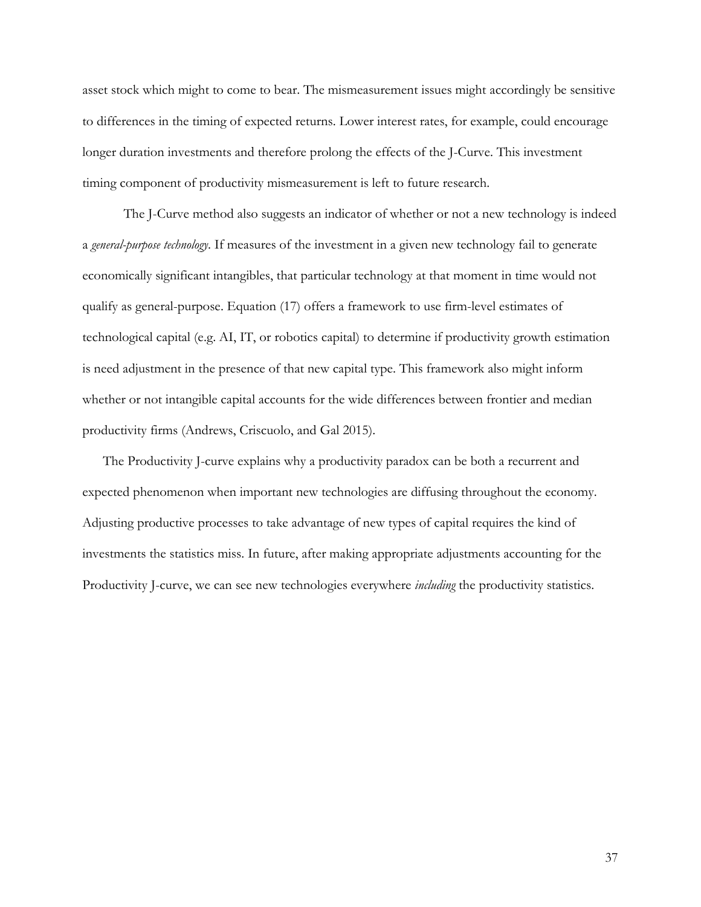asset stock which might to come to bear. The mismeasurement issues might accordingly be sensitive to differences in the timing of expected returns. Lower interest rates, for example, could encourage longer duration investments and therefore prolong the effects of the J-Curve. This investment timing component of productivity mismeasurement is left to future research.

The J-Curve method also suggests an indicator of whether or not a new technology is indeed a *general-purpose technology*. If measures of the investment in a given new technology fail to generate economically significant intangibles, that particular technology at that moment in time would not qualify as general-purpose. Equation (17) offers a framework to use firm-level estimates of technological capital (e.g. AI, IT, or robotics capital) to determine if productivity growth estimation is need adjustment in the presence of that new capital type. This framework also might inform whether or not intangible capital accounts for the wide differences between frontier and median productivity firms (Andrews, Criscuolo, and Gal 2015).

The Productivity J-curve explains why a productivity paradox can be both a recurrent and expected phenomenon when important new technologies are diffusing throughout the economy. Adjusting productive processes to take advantage of new types of capital requires the kind of investments the statistics miss. In future, after making appropriate adjustments accounting for the Productivity J-curve, we can see new technologies everywhere *including* the productivity statistics.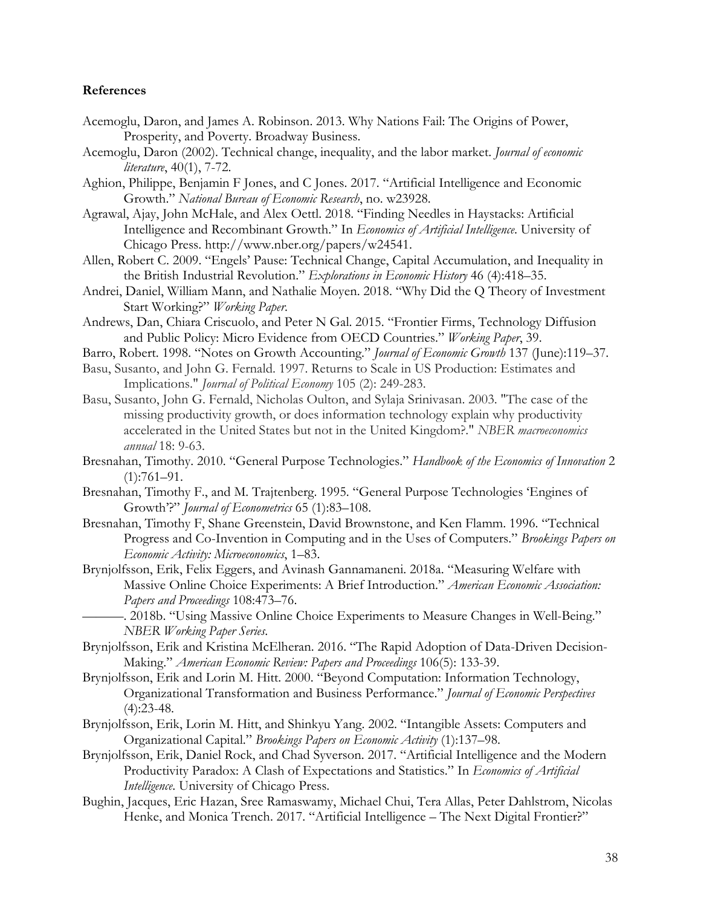## **References**

- Acemoglu, Daron, and James A. Robinson. 2013. Why Nations Fail: The Origins of Power, Prosperity, and Poverty. Broadway Business.
- Acemoglu, Daron (2002). Technical change, inequality, and the labor market. *Journal of economic literature*, 40(1), 7-72.
- Aghion, Philippe, Benjamin F Jones, and C Jones. 2017. "Artificial Intelligence and Economic Growth." *National Bureau of Economic Research*, no. w23928.
- Agrawal, Ajay, John McHale, and Alex Oettl. 2018. "Finding Needles in Haystacks: Artificial Intelligence and Recombinant Growth." In *Economics of Artificial Intelligence*. University of Chicago Press. http://www.nber.org/papers/w24541.
- Allen, Robert C. 2009. "Engels' Pause: Technical Change, Capital Accumulation, and Inequality in the British Industrial Revolution." *Explorations in Economic History* 46 (4):418–35.
- Andrei, Daniel, William Mann, and Nathalie Moyen. 2018. "Why Did the Q Theory of Investment Start Working?" *Working Paper*.
- Andrews, Dan, Chiara Criscuolo, and Peter N Gal. 2015. "Frontier Firms, Technology Diffusion and Public Policy: Micro Evidence from OECD Countries." *Working Paper*, 39.
- Barro, Robert. 1998. "Notes on Growth Accounting." *Journal of Economic Growth* 137 (June):119–37.
- Basu, Susanto, and John G. Fernald. 1997. Returns to Scale in US Production: Estimates and Implications." *Journal of Political Economy* 105 (2): 249-283.
- Basu, Susanto, John G. Fernald, Nicholas Oulton, and Sylaja Srinivasan. 2003. "The case of the missing productivity growth, or does information technology explain why productivity accelerated in the United States but not in the United Kingdom?." *NBER macroeconomics annual* 18: 9-63.
- Bresnahan, Timothy. 2010. "General Purpose Technologies." *Handbook of the Economics of Innovation* 2  $(1):761-91.$
- Bresnahan, Timothy F., and M. Trajtenberg. 1995. "General Purpose Technologies 'Engines of Growth'?" *Journal of Econometrics* 65 (1):83–108.
- Bresnahan, Timothy F, Shane Greenstein, David Brownstone, and Ken Flamm. 1996. "Technical Progress and Co-Invention in Computing and in the Uses of Computers." *Brookings Papers on Economic Activity: Microeconomics*, 1–83.
- Brynjolfsson, Erik, Felix Eggers, and Avinash Gannamaneni. 2018a. "Measuring Welfare with Massive Online Choice Experiments: A Brief Introduction." *American Economic Association: Papers and Proceedings* 108:473–76.
	- ———. 2018b. "Using Massive Online Choice Experiments to Measure Changes in Well-Being." *NBER Working Paper Series*.
- Brynjolfsson, Erik and Kristina McElheran. 2016. "The Rapid Adoption of Data-Driven Decision-Making." *American Economic Review: Papers and Proceedings* 106(5): 133-39.
- Brynjolfsson, Erik and Lorin M. Hitt. 2000. "Beyond Computation: Information Technology, Organizational Transformation and Business Performance." *Journal of Economic Perspectives*  $(4):23-48.$
- Brynjolfsson, Erik, Lorin M. Hitt, and Shinkyu Yang. 2002. "Intangible Assets: Computers and Organizational Capital." *Brookings Papers on Economic Activity* (1):137–98.
- Brynjolfsson, Erik, Daniel Rock, and Chad Syverson. 2017. "Artificial Intelligence and the Modern Productivity Paradox: A Clash of Expectations and Statistics." In *Economics of Artificial Intelligence*. University of Chicago Press.
- Bughin, Jacques, Eric Hazan, Sree Ramaswamy, Michael Chui, Tera Allas, Peter Dahlstrom, Nicolas Henke, and Monica Trench. 2017. "Artificial Intelligence – The Next Digital Frontier?"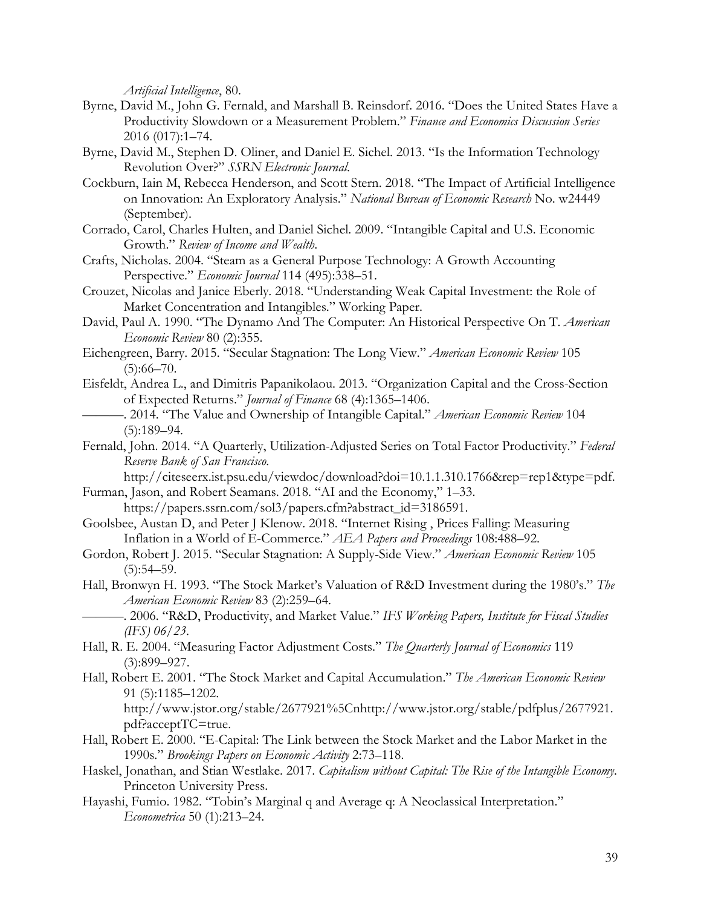*Artificial Intelligence*, 80.

- Byrne, David M., John G. Fernald, and Marshall B. Reinsdorf. 2016. "Does the United States Have a Productivity Slowdown or a Measurement Problem." *Finance and Economics Discussion Series* 2016 (017):1–74.
- Byrne, David M., Stephen D. Oliner, and Daniel E. Sichel. 2013. "Is the Information Technology Revolution Over?" *SSRN Electronic Journal*.
- Cockburn, Iain M, Rebecca Henderson, and Scott Stern. 2018. "The Impact of Artificial Intelligence on Innovation: An Exploratory Analysis." *National Bureau of Economic Research* No. w24449 (September).
- Corrado, Carol, Charles Hulten, and Daniel Sichel. 2009. "Intangible Capital and U.S. Economic Growth." *Review of Income and Wealth*.
- Crafts, Nicholas. 2004. "Steam as a General Purpose Technology: A Growth Accounting Perspective." *Economic Journal* 114 (495):338–51.
- Crouzet, Nicolas and Janice Eberly. 2018. "Understanding Weak Capital Investment: the Role of Market Concentration and Intangibles." Working Paper.
- David, Paul A. 1990. "The Dynamo And The Computer: An Historical Perspective On T. *American Economic Review* 80 (2):355.
- Eichengreen, Barry. 2015. "Secular Stagnation: The Long View." *American Economic Review* 105  $(5):66-70.$
- Eisfeldt, Andrea L., and Dimitris Papanikolaou. 2013. "Organization Capital and the Cross-Section of Expected Returns." *Journal of Finance* 68 (4):1365–1406.
- ———. 2014. "The Value and Ownership of Intangible Capital." *American Economic Review* 104 (5):189–94.
- Fernald, John. 2014. "A Quarterly, Utilization-Adjusted Series on Total Factor Productivity." *Federal Reserve Bank of San Francisco*.

http://citeseerx.ist.psu.edu/viewdoc/download?doi=10.1.1.310.1766&rep=rep1&type=pdf.

- Furman, Jason, and Robert Seamans. 2018. "AI and the Economy," 1–33. https://papers.ssrn.com/sol3/papers.cfm?abstract\_id=3186591.
- Goolsbee, Austan D, and Peter J Klenow. 2018. "Internet Rising , Prices Falling: Measuring Inflation in a World of E-Commerce." *AEA Papers and Proceedings* 108:488–92.
- Gordon, Robert J. 2015. "Secular Stagnation: A Supply-Side View." *American Economic Review* 105  $(5):54-59.$
- Hall, Bronwyn H. 1993. "The Stock Market's Valuation of R&D Investment during the 1980's." *The American Economic Review* 83 (2):259–64.

———. 2006. "R&D, Productivity, and Market Value." *IFS Working Papers, Institute for Fiscal Studies (IFS) 06/23*.

- Hall, R. E. 2004. "Measuring Factor Adjustment Costs." *The Quarterly Journal of Economics* 119 (3):899–927.
- Hall, Robert E. 2001. "The Stock Market and Capital Accumulation." *The American Economic Review* 91 (5):1185–1202. http://www.jstor.org/stable/2677921%5Cnhttp://www.jstor.org/stable/pdfplus/2677921. pdf?acceptTC=true.
- Hall, Robert E. 2000. "E-Capital: The Link between the Stock Market and the Labor Market in the 1990s." *Brookings Papers on Economic Activity* 2:73–118.
- Haskel, Jonathan, and Stian Westlake. 2017. *Capitalism without Capital: The Rise of the Intangible Economy*. Princeton University Press.
- Hayashi, Fumio. 1982. "Tobin's Marginal q and Average q: A Neoclassical Interpretation." *Econometrica* 50 (1):213–24.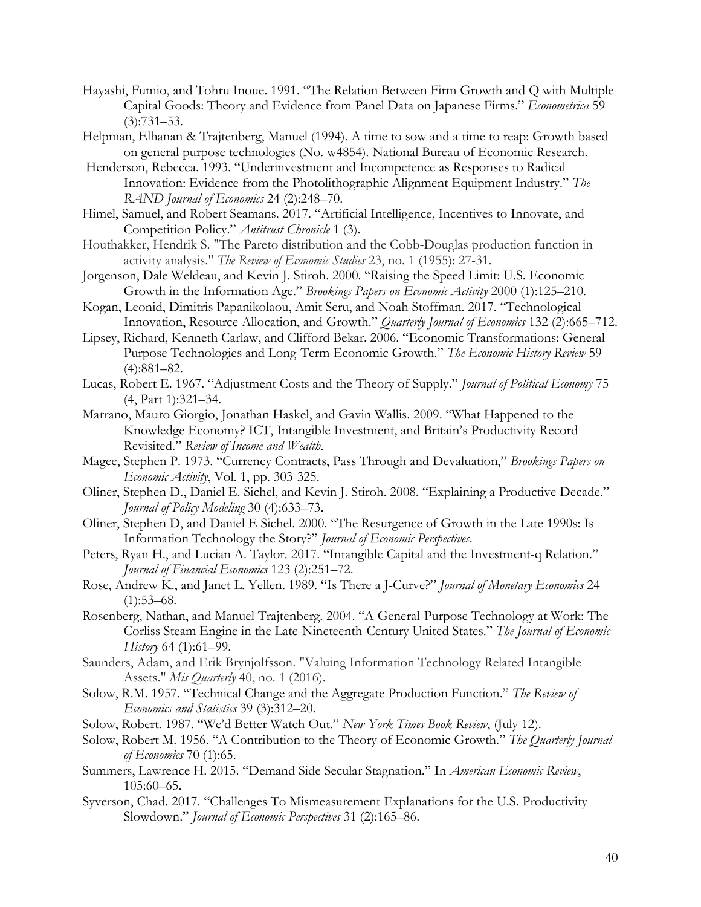- Hayashi, Fumio, and Tohru Inoue. 1991. "The Relation Between Firm Growth and Q with Multiple Capital Goods: Theory and Evidence from Panel Data on Japanese Firms." *Econometrica* 59 (3):731–53.
- Helpman, Elhanan & Trajtenberg, Manuel (1994). A time to sow and a time to reap: Growth based on general purpose technologies (No. w4854). National Bureau of Economic Research.
- Henderson, Rebecca. 1993. "Underinvestment and Incompetence as Responses to Radical Innovation: Evidence from the Photolithographic Alignment Equipment Industry." *The RAND Journal of Economics* 24 (2):248–70.
- Himel, Samuel, and Robert Seamans. 2017. "Artificial Intelligence, Incentives to Innovate, and Competition Policy." *Antitrust Chronicle* 1 (3).
- Houthakker, Hendrik S. "The Pareto distribution and the Cobb-Douglas production function in activity analysis." *The Review of Economic Studies* 23, no. 1 (1955): 27-31.
- Jorgenson, Dale Weldeau, and Kevin J. Stiroh. 2000. "Raising the Speed Limit: U.S. Economic Growth in the Information Age." *Brookings Papers on Economic Activity* 2000 (1):125–210.
- Kogan, Leonid, Dimitris Papanikolaou, Amit Seru, and Noah Stoffman. 2017. "Technological Innovation, Resource Allocation, and Growth." *Quarterly Journal of Economics* 132 (2):665–712.
- Lipsey, Richard, Kenneth Carlaw, and Clifford Bekar. 2006. "Economic Transformations: General Purpose Technologies and Long-Term Economic Growth." *The Economic History Review* 59 (4):881–82.
- Lucas, Robert E. 1967. "Adjustment Costs and the Theory of Supply." *Journal of Political Economy* 75 (4, Part 1):321–34.
- Marrano, Mauro Giorgio, Jonathan Haskel, and Gavin Wallis. 2009. "What Happened to the Knowledge Economy? ICT, Intangible Investment, and Britain's Productivity Record Revisited." *Review of Income and Wealth*.
- Magee, Stephen P. 1973. "Currency Contracts, Pass Through and Devaluation," *Brookings Papers on Economic Activity*, Vol. 1, pp. 303-325.
- Oliner, Stephen D., Daniel E. Sichel, and Kevin J. Stiroh. 2008. "Explaining a Productive Decade." *Journal of Policy Modeling* 30 (4):633–73.
- Oliner, Stephen D, and Daniel E Sichel. 2000. "The Resurgence of Growth in the Late 1990s: Is Information Technology the Story?" *Journal of Economic Perspectives*.
- Peters, Ryan H., and Lucian A. Taylor. 2017. "Intangible Capital and the Investment-q Relation." *Journal of Financial Economics* 123 (2):251–72.
- Rose, Andrew K., and Janet L. Yellen. 1989. "Is There a J-Curve?" *Journal of Monetary Economics* 24  $(1):53-68.$
- Rosenberg, Nathan, and Manuel Trajtenberg. 2004. "A General-Purpose Technology at Work: The Corliss Steam Engine in the Late-Nineteenth-Century United States." *The Journal of Economic History* 64 (1):61–99.
- Saunders, Adam, and Erik Brynjolfsson. "Valuing Information Technology Related Intangible Assets." *Mis Quarterly* 40, no. 1 (2016).
- Solow, R.M. 1957. "Technical Change and the Aggregate Production Function." *The Review of Economics and Statistics* 39 (3):312–20.
- Solow, Robert. 1987. "We'd Better Watch Out." *New York Times Book Review*, (July 12).
- Solow, Robert M. 1956. "A Contribution to the Theory of Economic Growth." *The Quarterly Journal of Economics* 70 (1):65.
- Summers, Lawrence H. 2015. "Demand Side Secular Stagnation." In *American Economic Review*, 105:60–65.
- Syverson, Chad. 2017. "Challenges To Mismeasurement Explanations for the U.S. Productivity Slowdown." *Journal of Economic Perspectives* 31 (2):165–86.